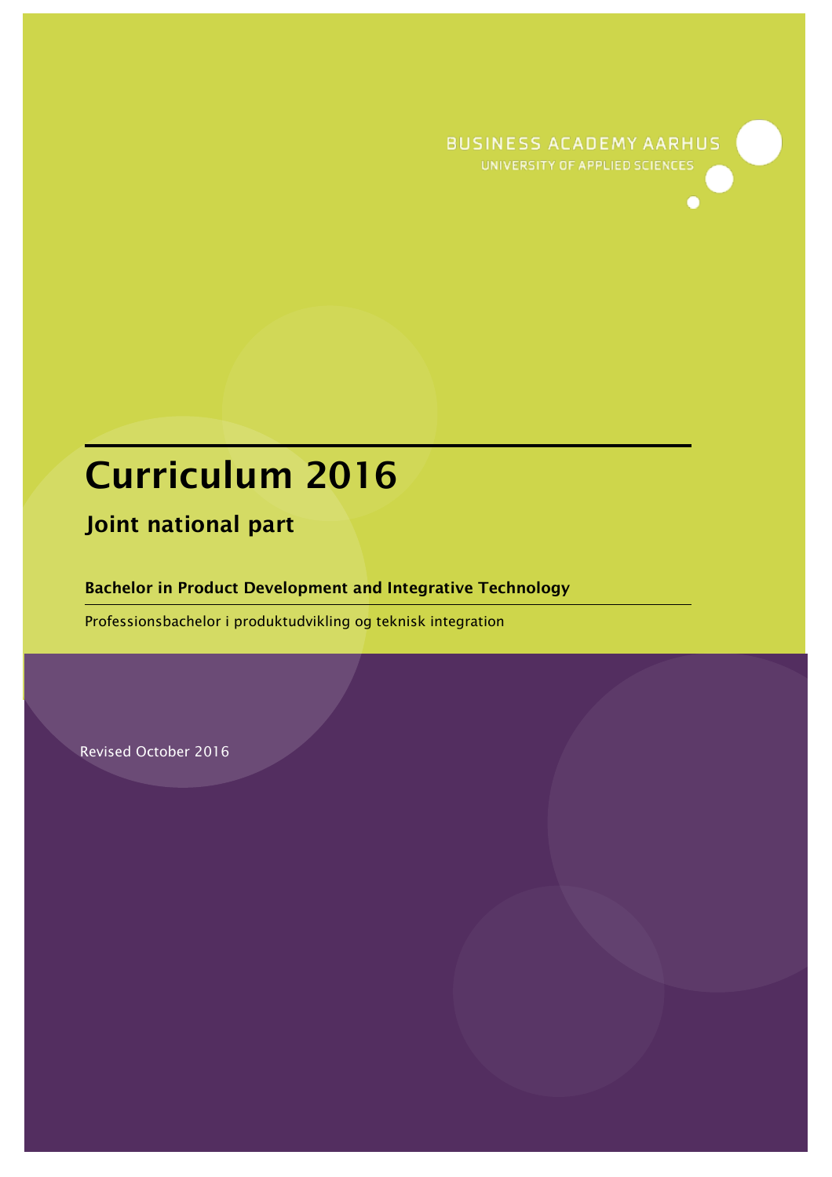**BUSINESS ACADEMY AARHUS** UNIVERSITY OF APPLIED SCIENCES

# Curriculum 2016

Joint national part

Bachelor in Product Development and Integrative Technology

Professionsbachelor i produktudvikling og teknisk integration

Revised October 2016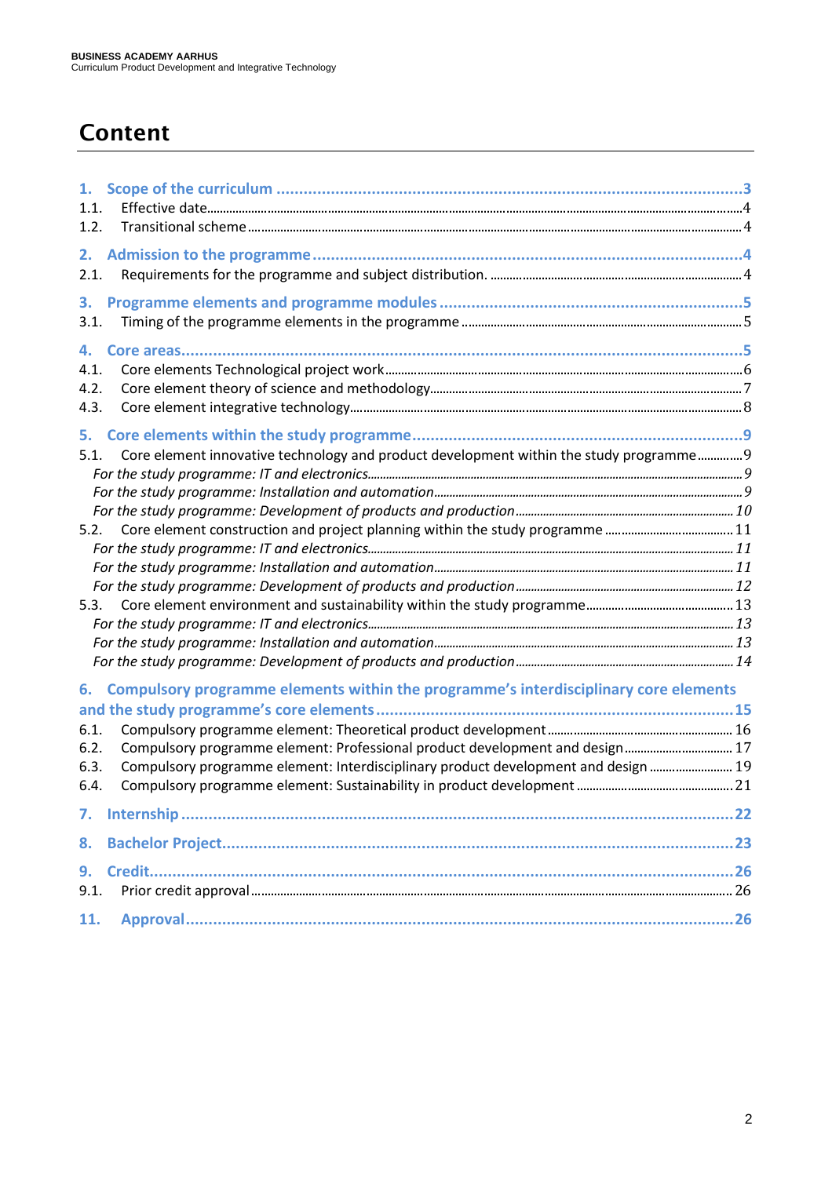# Content

| 1.<br>1.1. |                                                                                         |  |
|------------|-----------------------------------------------------------------------------------------|--|
| 1.2.       |                                                                                         |  |
| 2.<br>2.1. |                                                                                         |  |
|            |                                                                                         |  |
| 3.<br>3.1. |                                                                                         |  |
|            |                                                                                         |  |
| 4.<br>4.1. |                                                                                         |  |
| 4.2.       |                                                                                         |  |
| 4.3.       |                                                                                         |  |
|            |                                                                                         |  |
| 5.         |                                                                                         |  |
| 5.1.       | Core element innovative technology and product development within the study programme 9 |  |
|            |                                                                                         |  |
|            |                                                                                         |  |
| 5.2.       |                                                                                         |  |
|            |                                                                                         |  |
|            |                                                                                         |  |
|            |                                                                                         |  |
| 5.3.       |                                                                                         |  |
|            |                                                                                         |  |
|            |                                                                                         |  |
|            |                                                                                         |  |
| 6.         | Compulsory programme elements within the programme's interdisciplinary core elements    |  |
|            |                                                                                         |  |
| 6.1.       |                                                                                         |  |
| 6.2.       | Compulsory programme element: Professional product development and design 17            |  |
| 6.3.       | Compulsory programme element: Interdisciplinary product development and design  19      |  |
| 6.4.       |                                                                                         |  |
|            |                                                                                         |  |
| 8.         |                                                                                         |  |
| 9.         |                                                                                         |  |
| 9.1.       |                                                                                         |  |
| 11.        |                                                                                         |  |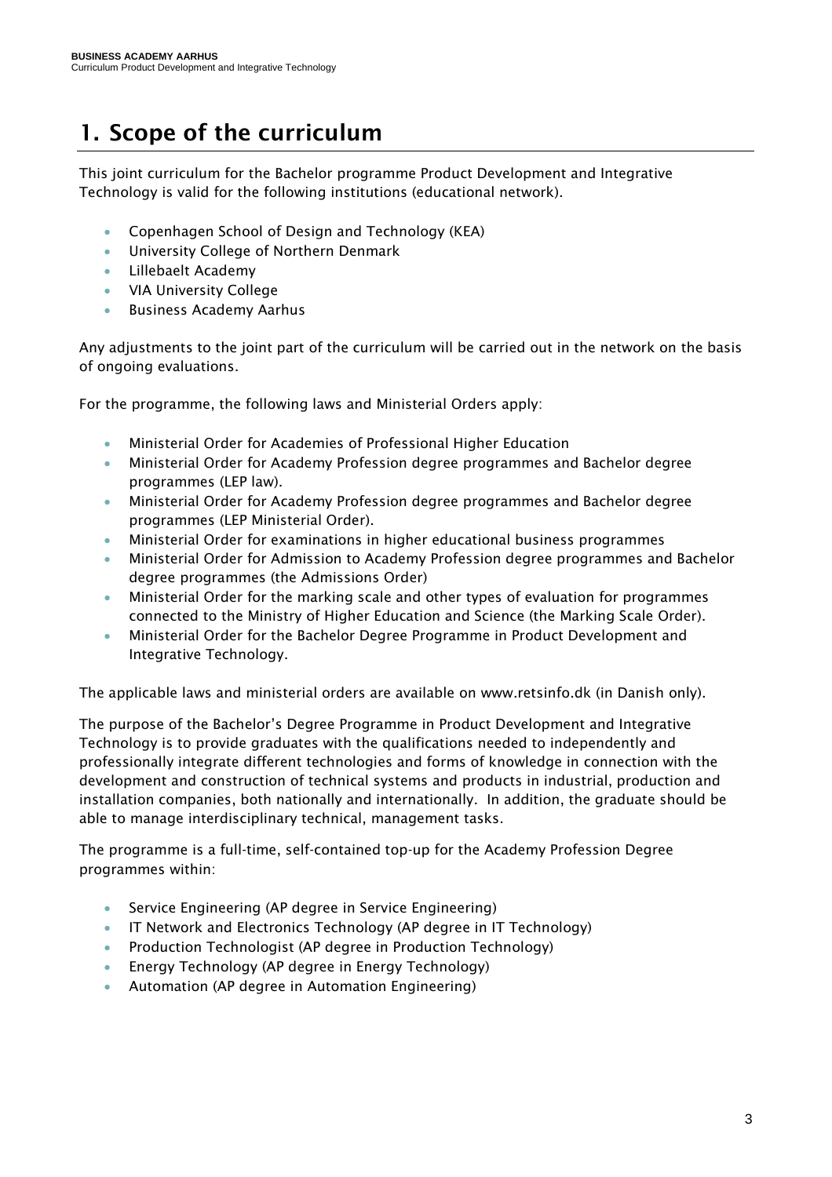# <span id="page-2-0"></span>1. Scope of the curriculum

This joint curriculum for the Bachelor programme Product Development and Integrative Technology is valid for the following institutions (educational network).

- Copenhagen School of Design and Technology (KEA)
- University College of Northern Denmark
- Lillebaelt Academy
- VIA University College
- Business Academy Aarhus

Any adjustments to the joint part of the curriculum will be carried out in the network on the basis of ongoing evaluations.

For the programme, the following laws and Ministerial Orders apply:

- Ministerial Order for Academies of Professional Higher Education
- Ministerial Order for Academy Profession degree programmes and Bachelor degree programmes (LEP law).
- Ministerial Order for Academy Profession degree programmes and Bachelor degree programmes (LEP Ministerial Order).
- Ministerial Order for examinations in higher educational business programmes
- Ministerial Order for Admission to Academy Profession degree programmes and Bachelor degree programmes (the Admissions Order)
- Ministerial Order for the marking scale and other types of evaluation for programmes connected to the Ministry of Higher Education and Science (the Marking Scale Order).
- Ministerial Order for the Bachelor Degree Programme in Product Development and Integrative Technology.

The applicable laws and ministerial orders are available on www.retsinfo.dk (in Danish only).

The purpose of the Bachelor's Degree Programme in Product Development and Integrative Technology is to provide graduates with the qualifications needed to independently and professionally integrate different technologies and forms of knowledge in connection with the development and construction of technical systems and products in industrial, production and installation companies, both nationally and internationally. In addition, the graduate should be able to manage interdisciplinary technical, management tasks.

The programme is a full-time, self-contained top-up for the Academy Profession Degree programmes within:

- Service Engineering (AP degree in Service Engineering)
- IT Network and Electronics Technology (AP degree in IT Technology)
- Production Technologist (AP degree in Production Technology)
- Energy Technology (AP degree in Energy Technology)
- Automation (AP degree in Automation Engineering)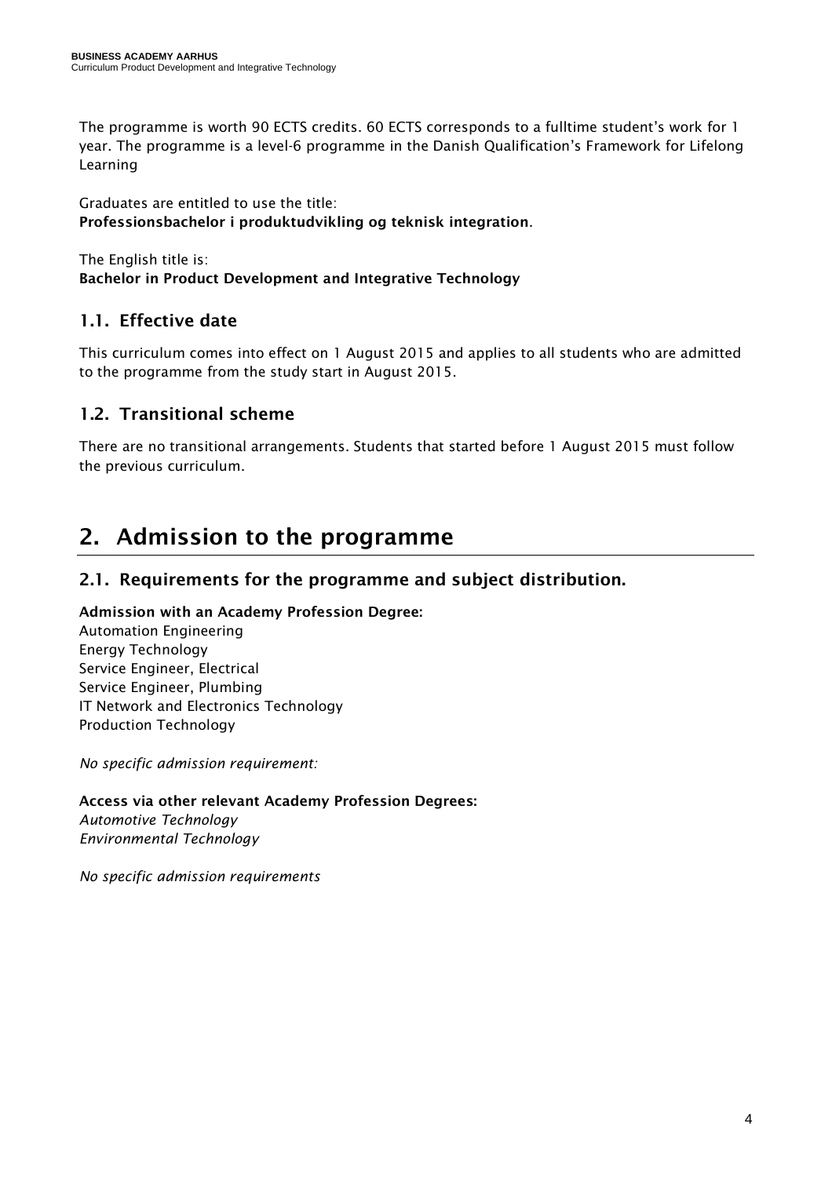The programme is worth 90 ECTS credits. 60 ECTS corresponds to a fulltime student's work for 1 year. The programme is a level-6 programme in the Danish Qualification's Framework for Lifelong Learning

Graduates are entitled to use the title: Professionsbachelor i produktudvikling og teknisk integration.

The English title is: Bachelor in Product Development and Integrative Technology

# <span id="page-3-0"></span>1.1. Effective date

This curriculum comes into effect on 1 August 2015 and applies to all students who are admitted to the programme from the study start in August 2015.

### <span id="page-3-1"></span>1.2. Transitional scheme

There are no transitional arrangements. Students that started before 1 August 2015 must follow the previous curriculum.

# <span id="page-3-2"></span>2. Admission to the programme

### <span id="page-3-3"></span>2.1. Requirements for the programme and subject distribution.

### Admission with an Academy Profession Degree:

Automation Engineering Energy Technology Service Engineer, Electrical Service Engineer, Plumbing IT Network and Electronics Technology Production Technology

*No specific admission requirement:*

Access via other relevant Academy Profession Degrees: *Automotive Technology Environmental Technology* 

*No specific admission requirements*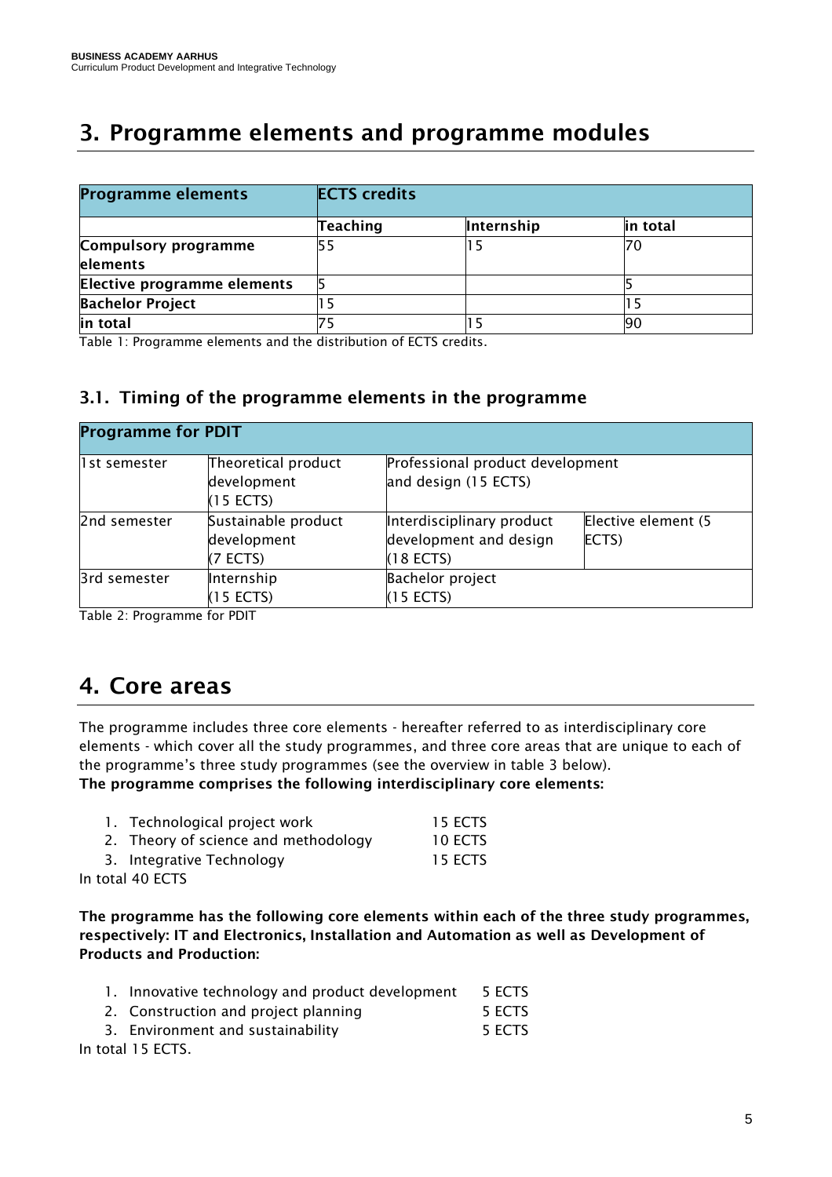# <span id="page-4-0"></span>3. Programme elements and programme modules

| <b>Programme elements</b>   | <b>ECTS</b> credits |            |          |  |
|-----------------------------|---------------------|------------|----------|--|
|                             | Teaching            | Internship | in total |  |
| Compulsory programme        | 55                  |            |          |  |
| elements                    |                     |            |          |  |
| Elective programme elements |                     |            |          |  |
| <b>Bachelor Project</b>     |                     |            |          |  |
| in total                    |                     |            | 190      |  |

Table 1: Programme elements and the distribution of ECTS credits.

### <span id="page-4-1"></span>3.1. Timing of the programme elements in the programme

| <b>Programme for PDIT</b> |                                                   |                                                                    |                                  |  |  |  |
|---------------------------|---------------------------------------------------|--------------------------------------------------------------------|----------------------------------|--|--|--|
| l1st semester             | Theoretical product<br>development<br>$(15$ ECTS) | and design (15 ECTS)                                               | Professional product development |  |  |  |
| 2nd semester              | Sustainable product<br>development<br>$(7$ ECTS)  | Interdisciplinary product<br>development and design<br>$(18$ ECTS) | Elective element (5<br>ECTS)     |  |  |  |
| 3rd semester              | Internship<br>$(15$ ECTS)                         | <b>Bachelor project</b><br>$(15$ ECTS)                             |                                  |  |  |  |

Table 2: Programme for PDIT

# <span id="page-4-2"></span>4. Core areas

The programme includes three core elements - hereafter referred to as interdisciplinary core elements - which cover all the study programmes, and three core areas that are unique to each of the programme's three study programmes (see the overview in table 3 below). The programme comprises the following interdisciplinary core elements:

|                  | 1. Technological project work        | 15 ECTS |
|------------------|--------------------------------------|---------|
|                  | 2. Theory of science and methodology | 10 ECTS |
|                  | 3. Integrative Technology            | 15 ECTS |
| In total 40 ECTS |                                      |         |

The programme has the following core elements within each of the three study programmes, respectively: IT and Electronics, Installation and Automation as well as Development of Products and Production:

|  |  | 1. Innovative technology and product development | 5 ECTS |
|--|--|--------------------------------------------------|--------|
|  |  |                                                  |        |

- 2. Construction and project planning 5 ECTS
- 3. Environment and sustainability Theorem 3. ECTS

In total 15 ECTS.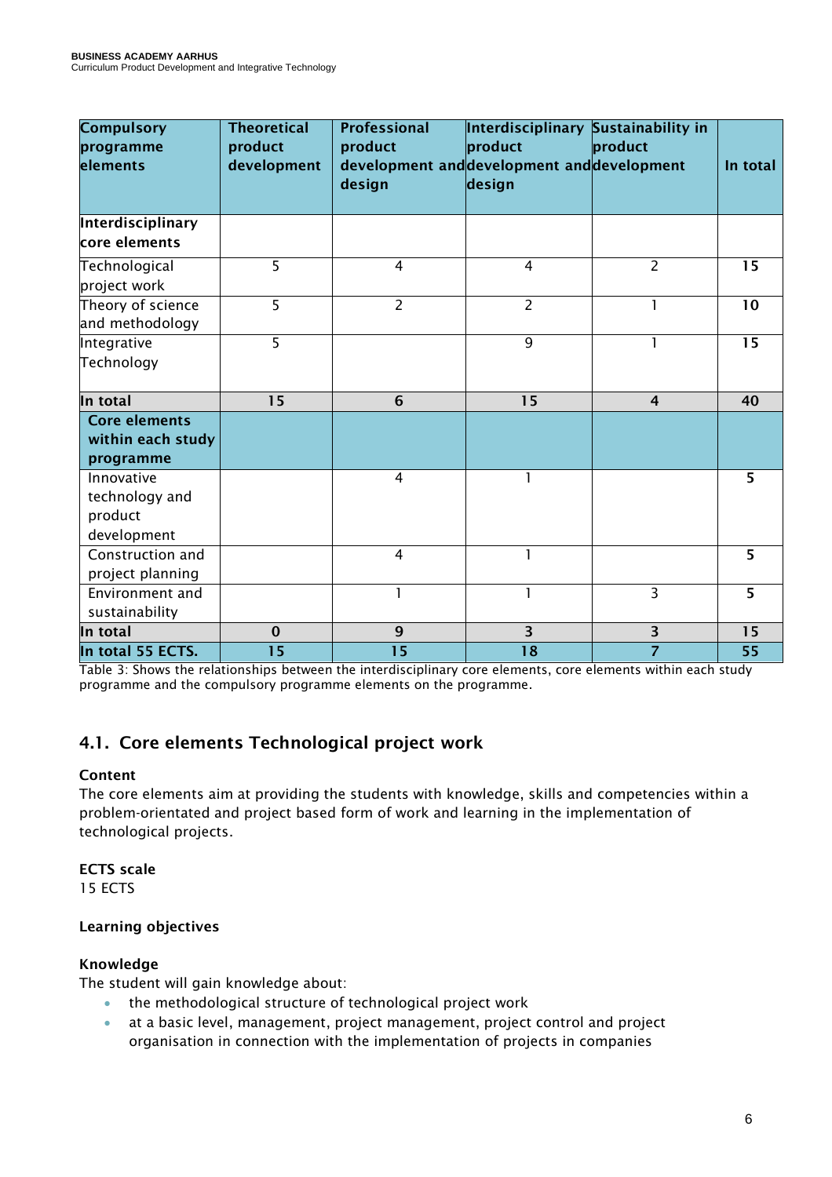| <b>Compulsory</b><br>programme<br>elements             | <b>Theoretical</b><br>product<br>development | <b>Professional</b><br>product<br>design | Interdisciplinary Sustainability in<br>product<br>development and development and development<br>design | product        | In total       |
|--------------------------------------------------------|----------------------------------------------|------------------------------------------|---------------------------------------------------------------------------------------------------------|----------------|----------------|
| Interdisciplinary                                      |                                              |                                          |                                                                                                         |                |                |
| core elements                                          |                                              |                                          |                                                                                                         |                |                |
| Technological                                          | 5                                            | $\overline{4}$                           | $\overline{4}$                                                                                          | $\overline{2}$ | 15             |
| project work                                           |                                              |                                          |                                                                                                         |                |                |
| Theory of science                                      | 5                                            | $\overline{2}$                           | $\overline{2}$                                                                                          |                | 10             |
| and methodology                                        |                                              |                                          |                                                                                                         |                |                |
| Integrative                                            | $\overline{5}$                               |                                          | 9                                                                                                       |                | 15             |
| Technology                                             |                                              |                                          |                                                                                                         |                |                |
| In total                                               | 15                                           | $6\phantom{1}6$                          | 15                                                                                                      | $\overline{4}$ | 40             |
| <b>Core elements</b><br>within each study<br>programme |                                              |                                          |                                                                                                         |                |                |
| Innovative                                             |                                              | $\overline{4}$                           | 1                                                                                                       |                | 5              |
| technology and                                         |                                              |                                          |                                                                                                         |                |                |
| product<br>development                                 |                                              |                                          |                                                                                                         |                |                |
| Construction and                                       |                                              | $\overline{4}$                           | $\mathbf{1}$                                                                                            |                | 5              |
| project planning                                       |                                              |                                          |                                                                                                         |                |                |
| Environment and                                        |                                              |                                          | 1                                                                                                       | $\overline{3}$ | $\overline{5}$ |
| sustainability                                         |                                              |                                          |                                                                                                         |                |                |
| In total                                               | $\mathbf 0$                                  | 9                                        | $\overline{\mathbf{3}}$                                                                                 | 3              | 15             |
| In total 55 ECTS.                                      | 15                                           | 15                                       | $\overline{18}$                                                                                         | $\overline{7}$ | 55             |

Table 3: Shows the relationships between the interdisciplinary core elements, core elements within each study programme and the compulsory programme elements on the programme.

# <span id="page-5-0"></span>4.1. Core elements Technological project work

### Content

The core elements aim at providing the students with knowledge, skills and competencies within a problem-orientated and project based form of work and learning in the implementation of technological projects.

### ECTS scale

15 ECTS

### Learning objectives

### Knowledge

The student will gain knowledge about:

- the methodological structure of technological project work
- at a basic level, management, project management, project control and project organisation in connection with the implementation of projects in companies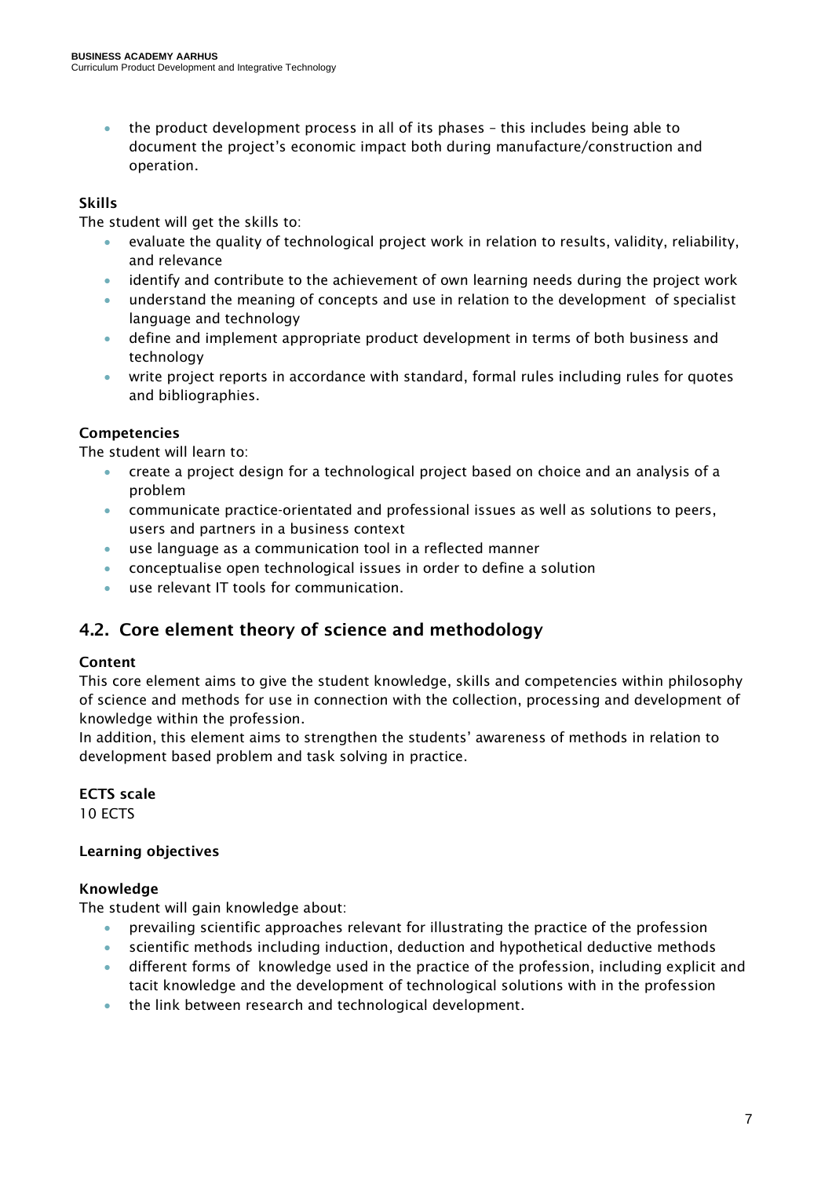• the product development process in all of its phases - this includes being able to document the project's economic impact both during manufacture/construction and operation.

### Skills

The student will get the skills to:

- evaluate the quality of technological project work in relation to results, validity, reliability, and relevance
- identify and contribute to the achievement of own learning needs during the project work
- understand the meaning of concepts and use in relation to the development of specialist language and technology
- define and implement appropriate product development in terms of both business and technology
- write project reports in accordance with standard, formal rules including rules for quotes and bibliographies.

### Competencies

The student will learn to:

- create a project design for a technological project based on choice and an analysis of a problem
- communicate practice-orientated and professional issues as well as solutions to peers, users and partners in a business context
- use language as a communication tool in a reflected manner
- conceptualise open technological issues in order to define a solution
- use relevant IT tools for communication.

### <span id="page-6-0"></span>4.2. Core element theory of science and methodology

### Content

This core element aims to give the student knowledge, skills and competencies within philosophy of science and methods for use in connection with the collection, processing and development of knowledge within the profession.

In addition, this element aims to strengthen the students' awareness of methods in relation to development based problem and task solving in practice.

ECTS scale 10 ECTS

### Learning objectives

### Knowledge

The student will gain knowledge about:

- prevailing scientific approaches relevant for illustrating the practice of the profession
- scientific methods including induction, deduction and hypothetical deductive methods
- different forms of knowledge used in the practice of the profession, including explicit and tacit knowledge and the development of technological solutions with in the profession
- the link between research and technological development.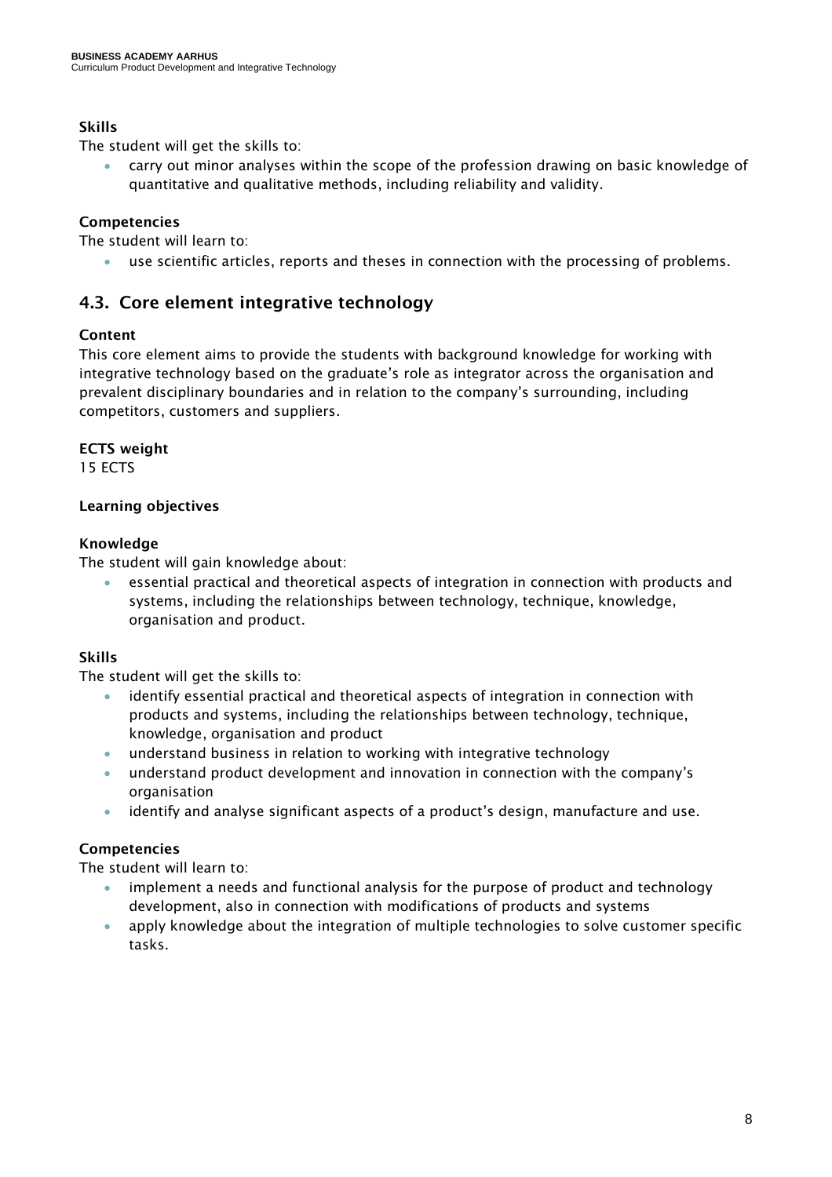### Skills

The student will get the skills to:

• carry out minor analyses within the scope of the profession drawing on basic knowledge of quantitative and qualitative methods, including reliability and validity.

### Competencies

The student will learn to:

• use scientific articles, reports and theses in connection with the processing of problems.

### <span id="page-7-0"></span>4.3. Core element integrative technology

### Content

This core element aims to provide the students with background knowledge for working with integrative technology based on the graduate's role as integrator across the organisation and prevalent disciplinary boundaries and in relation to the company's surrounding, including competitors, customers and suppliers.

### ECTS weight

15 ECTS

### Learning objectives

### Knowledge

The student will gain knowledge about:

• essential practical and theoretical aspects of integration in connection with products and systems, including the relationships between technology, technique, knowledge, organisation and product.

### Skills

The student will get the skills to:

- identify essential practical and theoretical aspects of integration in connection with products and systems, including the relationships between technology, technique, knowledge, organisation and product
- understand business in relation to working with integrative technology
- understand product development and innovation in connection with the company's organisation
- identify and analyse significant aspects of a product's design, manufacture and use.

### Competencies

The student will learn to:

- implement a needs and functional analysis for the purpose of product and technology development, also in connection with modifications of products and systems
- apply knowledge about the integration of multiple technologies to solve customer specific tasks.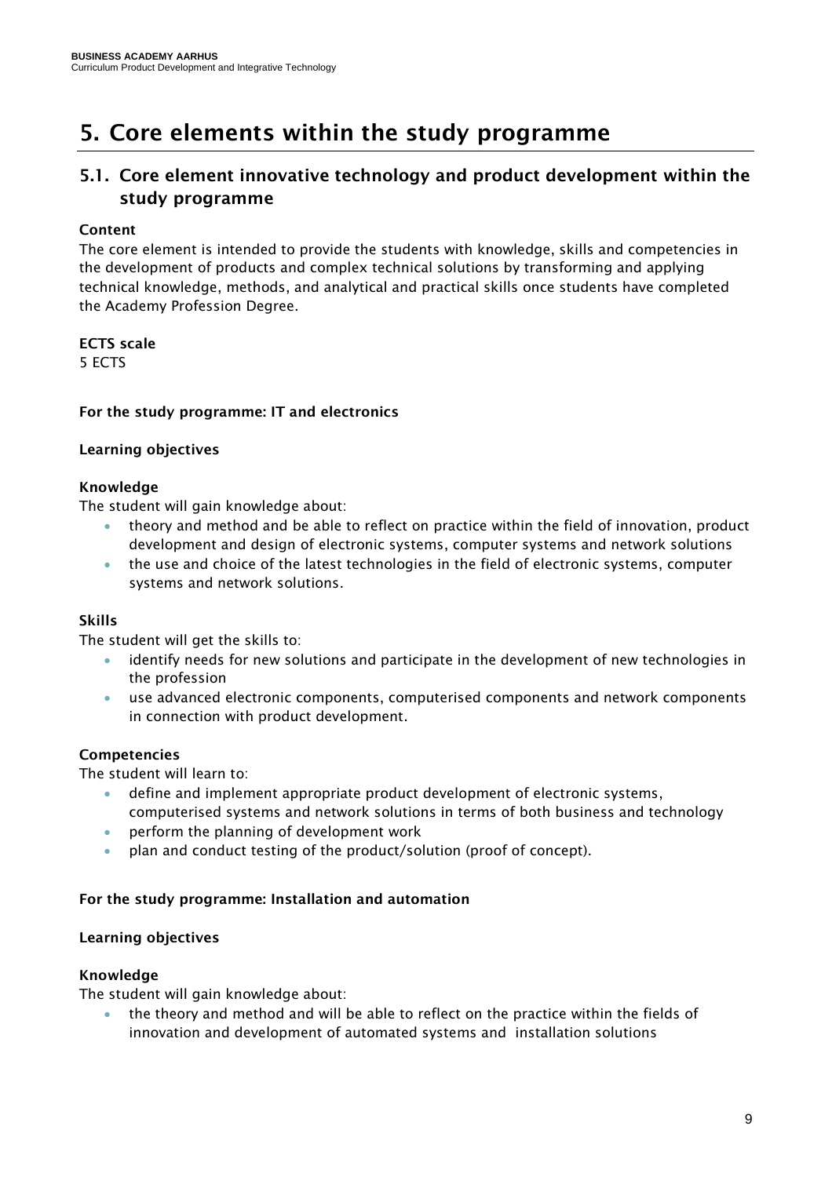# <span id="page-8-0"></span>5. Core elements within the study programme

# <span id="page-8-1"></span>5.1. Core element innovative technology and product development within the study programme

### Content

The core element is intended to provide the students with knowledge, skills and competencies in the development of products and complex technical solutions by transforming and applying technical knowledge, methods, and analytical and practical skills once students have completed the Academy Profession Degree.

### ECTS scale

5 ECTS

### <span id="page-8-2"></span>For the study programme: IT and electronics

### Learning objectives

### Knowledge

The student will gain knowledge about:

- theory and method and be able to reflect on practice within the field of innovation, product development and design of electronic systems, computer systems and network solutions
- the use and choice of the latest technologies in the field of electronic systems, computer systems and network solutions.

### Skills

The student will get the skills to:

- identify needs for new solutions and participate in the development of new technologies in the profession
- use advanced electronic components, computerised components and network components in connection with product development.

### Competencies

The student will learn to:

- define and implement appropriate product development of electronic systems, computerised systems and network solutions in terms of both business and technology
- perform the planning of development work
- plan and conduct testing of the product/solution (proof of concept).

#### <span id="page-8-3"></span>For the study programme: Installation and automation

#### Learning objectives

#### Knowledge

The student will gain knowledge about:

• the theory and method and will be able to reflect on the practice within the fields of innovation and development of automated systems and installation solutions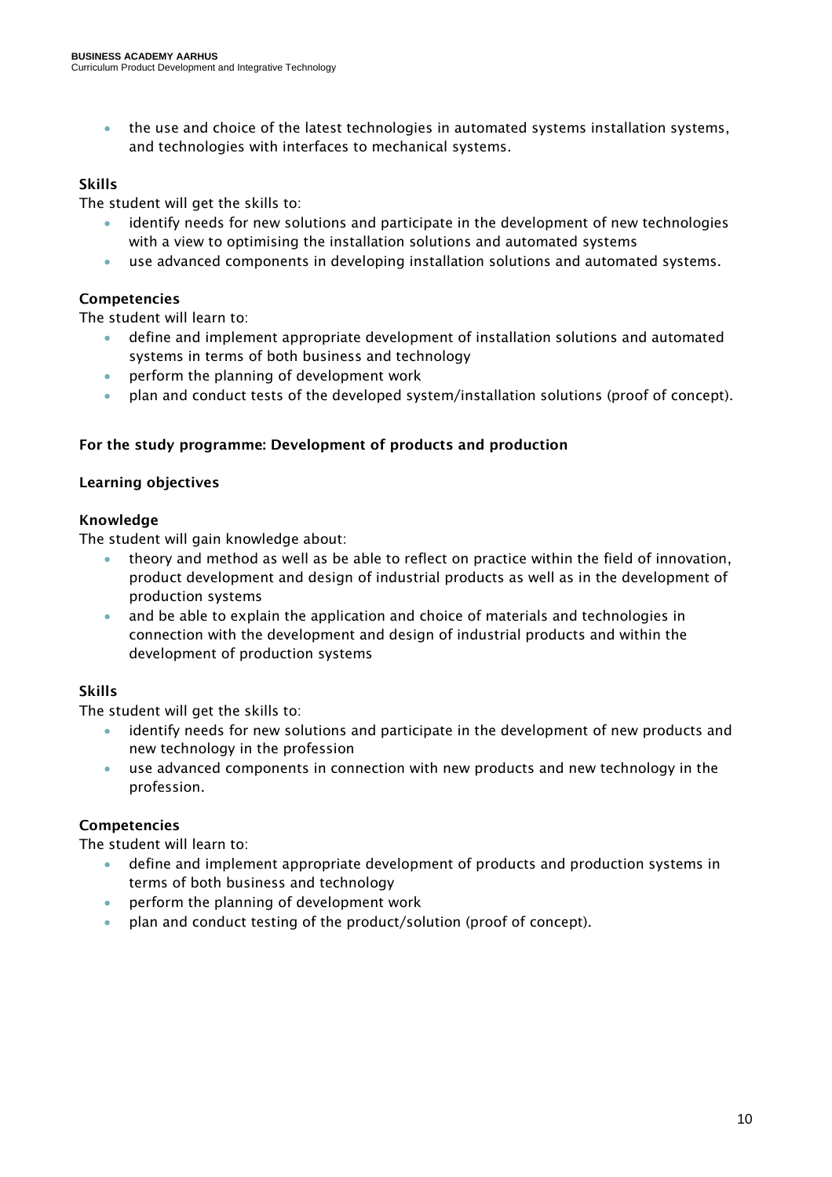• the use and choice of the latest technologies in automated systems installation systems, and technologies with interfaces to mechanical systems.

### Skills

The student will get the skills to:

- identify needs for new solutions and participate in the development of new technologies with a view to optimising the installation solutions and automated systems
- use advanced components in developing installation solutions and automated systems.

### Competencies

The student will learn to:

- define and implement appropriate development of installation solutions and automated systems in terms of both business and technology
- perform the planning of development work
- plan and conduct tests of the developed system/installation solutions (proof of concept).

### <span id="page-9-0"></span>For the study programme: Development of products and production

### Learning objectives

### Knowledge

The student will gain knowledge about:

- theory and method as well as be able to reflect on practice within the field of innovation, product development and design of industrial products as well as in the development of production systems
- and be able to explain the application and choice of materials and technologies in connection with the development and design of industrial products and within the development of production systems

### Skills

The student will get the skills to:

- identify needs for new solutions and participate in the development of new products and new technology in the profession
- use advanced components in connection with new products and new technology in the profession.

### Competencies

The student will learn to:

- define and implement appropriate development of products and production systems in terms of both business and technology
- perform the planning of development work
- plan and conduct testing of the product/solution (proof of concept).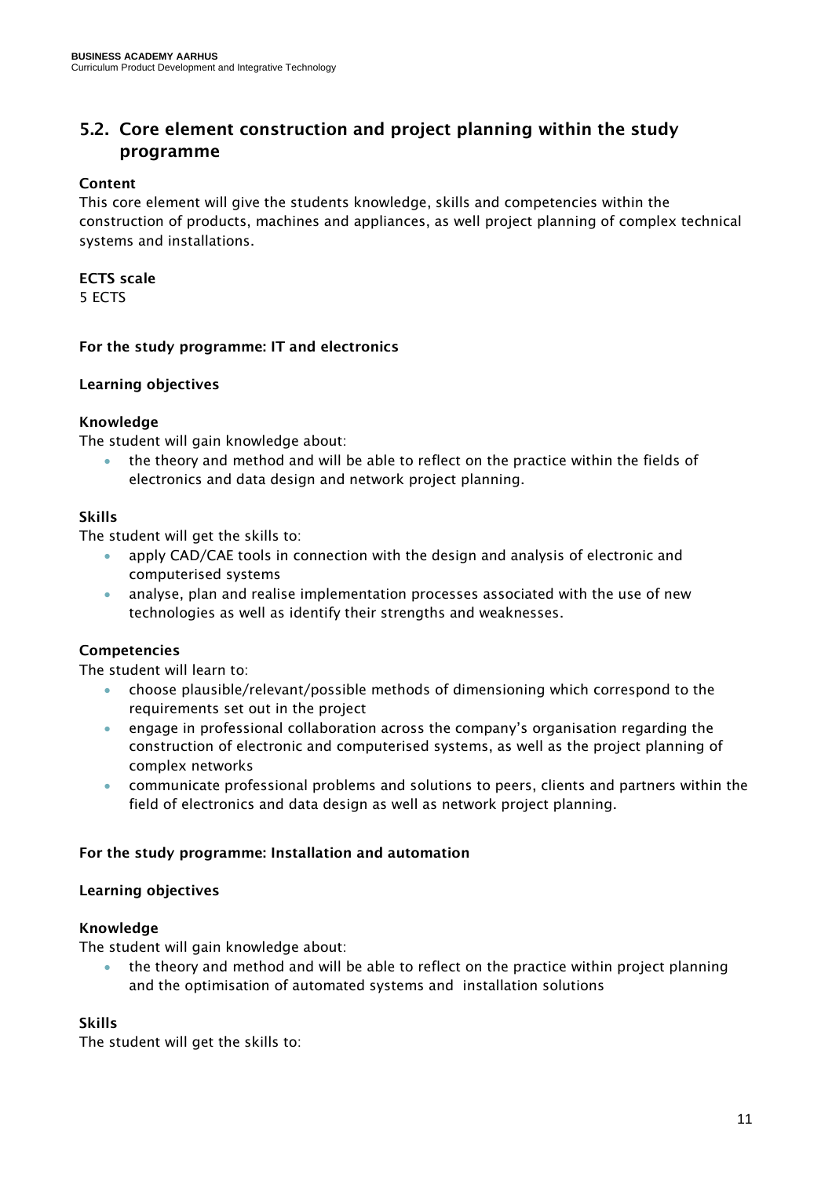### <span id="page-10-0"></span>5.2. Core element construction and project planning within the study programme

### Content

This core element will give the students knowledge, skills and competencies within the construction of products, machines and appliances, as well project planning of complex technical systems and installations.

### ECTS scale

5 ECTS

### <span id="page-10-1"></span>For the study programme: IT and electronics

### Learning objectives

### Knowledge

The student will gain knowledge about:

• the theory and method and will be able to reflect on the practice within the fields of electronics and data design and network project planning.

### Skills

The student will get the skills to:

- apply CAD/CAE tools in connection with the design and analysis of electronic and computerised systems
- analyse, plan and realise implementation processes associated with the use of new technologies as well as identify their strengths and weaknesses.

### Competencies

The student will learn to:

- choose plausible/relevant/possible methods of dimensioning which correspond to the requirements set out in the project
- engage in professional collaboration across the company's organisation regarding the construction of electronic and computerised systems, as well as the project planning of complex networks
- communicate professional problems and solutions to peers, clients and partners within the field of electronics and data design as well as network project planning.

#### <span id="page-10-2"></span>For the study programme: Installation and automation

#### Learning objectives

#### Knowledge

The student will gain knowledge about:

• the theory and method and will be able to reflect on the practice within project planning and the optimisation of automated systems and installation solutions

### Skills

The student will get the skills to: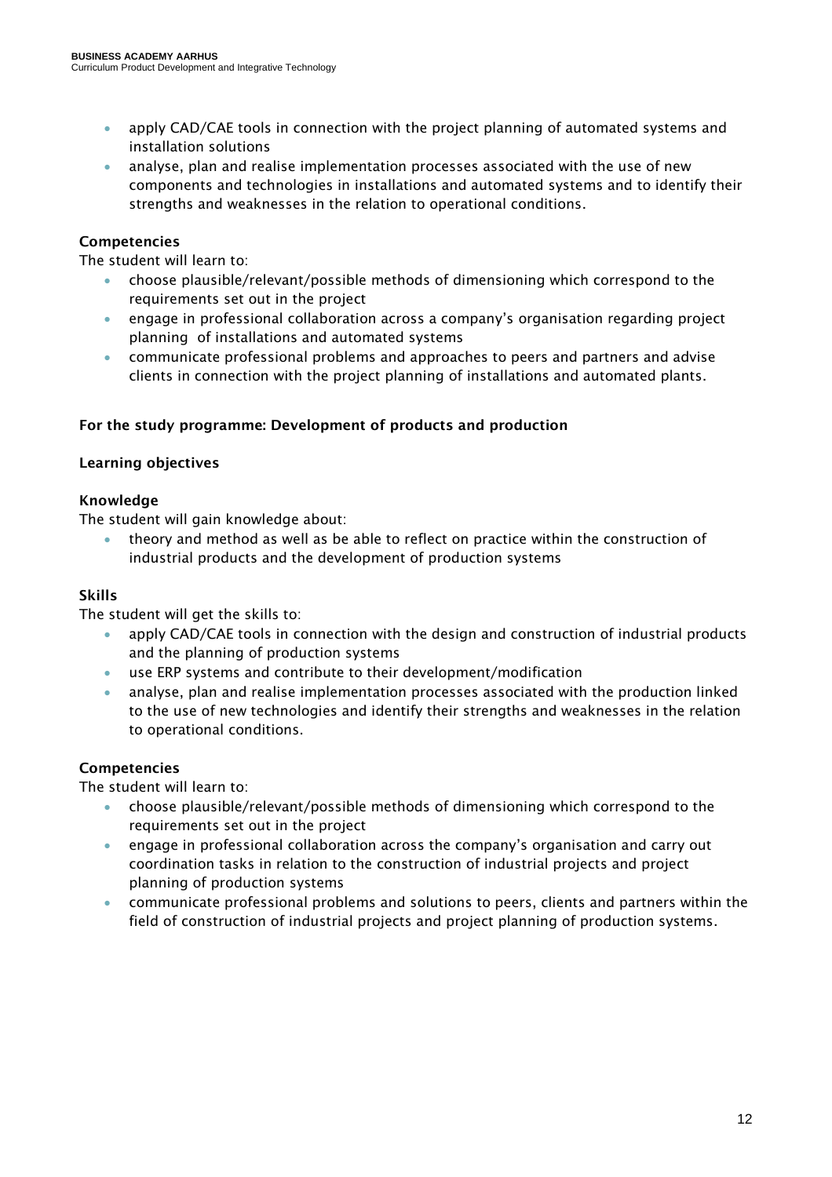- apply CAD/CAE tools in connection with the project planning of automated systems and installation solutions
- analyse, plan and realise implementation processes associated with the use of new components and technologies in installations and automated systems and to identify their strengths and weaknesses in the relation to operational conditions.

### Competencies

The student will learn to:

- choose plausible/relevant/possible methods of dimensioning which correspond to the requirements set out in the project
- engage in professional collaboration across a company's organisation regarding project planning of installations and automated systems
- communicate professional problems and approaches to peers and partners and advise clients in connection with the project planning of installations and automated plants.

### <span id="page-11-0"></span>For the study programme: Development of products and production

### Learning objectives

### Knowledge

The student will gain knowledge about:

• theory and method as well as be able to reflect on practice within the construction of industrial products and the development of production systems

### Skills

The student will get the skills to:

- apply CAD/CAE tools in connection with the design and construction of industrial products and the planning of production systems
- use ERP systems and contribute to their development/modification
- analyse, plan and realise implementation processes associated with the production linked to the use of new technologies and identify their strengths and weaknesses in the relation to operational conditions.

### Competencies

The student will learn to:

- choose plausible/relevant/possible methods of dimensioning which correspond to the requirements set out in the project
- engage in professional collaboration across the company's organisation and carry out coordination tasks in relation to the construction of industrial projects and project planning of production systems
- communicate professional problems and solutions to peers, clients and partners within the field of construction of industrial projects and project planning of production systems.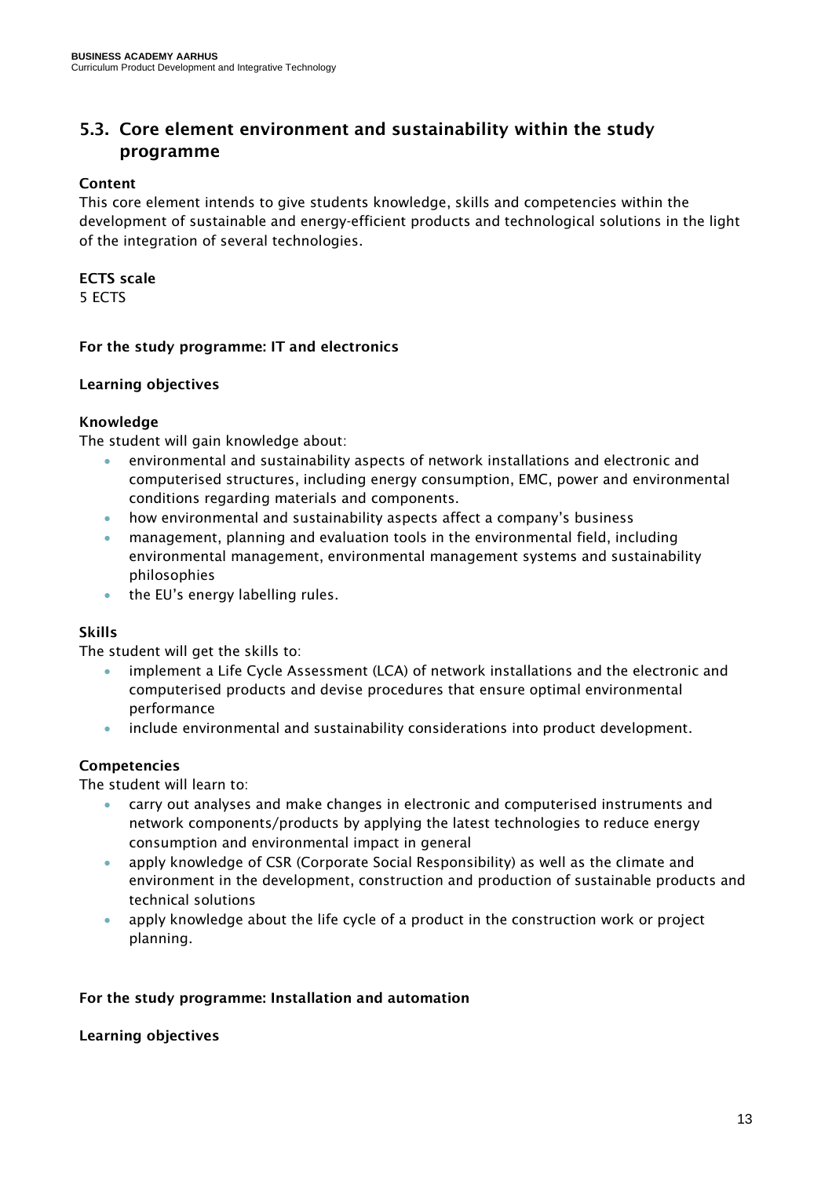### <span id="page-12-0"></span>5.3. Core element environment and sustainability within the study programme

### Content

This core element intends to give students knowledge, skills and competencies within the development of sustainable and energy-efficient products and technological solutions in the light of the integration of several technologies.

### ECTS scale

5 ECTS

### <span id="page-12-1"></span>For the study programme: IT and electronics

### Learning objectives

### Knowledge

The student will gain knowledge about:

- environmental and sustainability aspects of network installations and electronic and computerised structures, including energy consumption, EMC, power and environmental conditions regarding materials and components.
- how environmental and sustainability aspects affect a company's business
- management, planning and evaluation tools in the environmental field, including environmental management, environmental management systems and sustainability philosophies
- the EU's energy labelling rules.

### Skills

The student will get the skills to:

- implement a Life Cycle Assessment (LCA) of network installations and the electronic and computerised products and devise procedures that ensure optimal environmental performance
- include environmental and sustainability considerations into product development.

### Competencies

The student will learn to:

- carry out analyses and make changes in electronic and computerised instruments and network components/products by applying the latest technologies to reduce energy consumption and environmental impact in general
- apply knowledge of CSR (Corporate Social Responsibility) as well as the climate and environment in the development, construction and production of sustainable products and technical solutions
- apply knowledge about the life cycle of a product in the construction work or project planning.

### <span id="page-12-2"></span>For the study programme: Installation and automation

### Learning objectives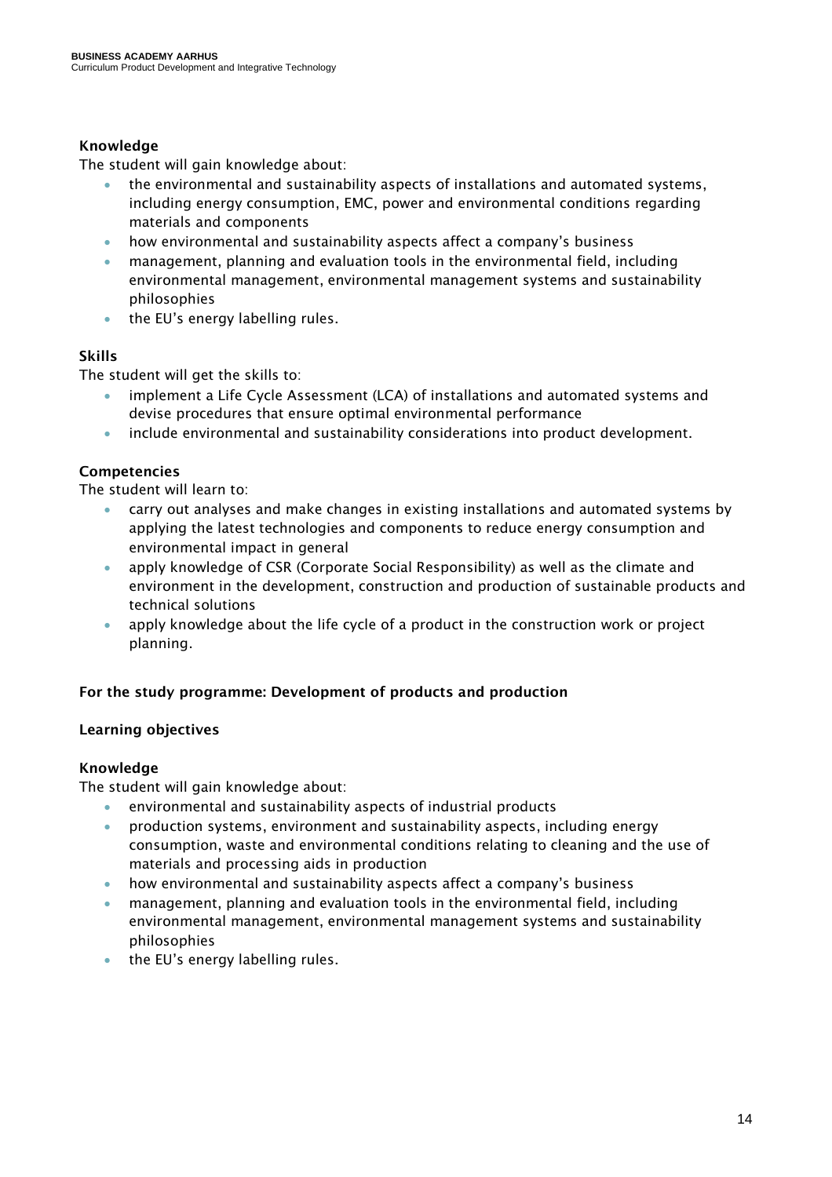### Knowledge

The student will gain knowledge about:

- the environmental and sustainability aspects of installations and automated systems, including energy consumption, EMC, power and environmental conditions regarding materials and components
- how environmental and sustainability aspects affect a company's business
- management, planning and evaluation tools in the environmental field, including environmental management, environmental management systems and sustainability philosophies
- the EU's energy labelling rules.

### Skills

The student will get the skills to:

- implement a Life Cycle Assessment (LCA) of installations and automated systems and devise procedures that ensure optimal environmental performance
- include environmental and sustainability considerations into product development.

### Competencies

The student will learn to:

- carry out analyses and make changes in existing installations and automated systems by applying the latest technologies and components to reduce energy consumption and environmental impact in general
- apply knowledge of CSR (Corporate Social Responsibility) as well as the climate and environment in the development, construction and production of sustainable products and technical solutions
- apply knowledge about the life cycle of a product in the construction work or project planning.

### <span id="page-13-0"></span>For the study programme: Development of products and production

### Learning objectives

### Knowledge

The student will gain knowledge about:

- environmental and sustainability aspects of industrial products
- production systems, environment and sustainability aspects, including energy consumption, waste and environmental conditions relating to cleaning and the use of materials and processing aids in production
- how environmental and sustainability aspects affect a company's business
- management, planning and evaluation tools in the environmental field, including environmental management, environmental management systems and sustainability philosophies
- the EU's energy labelling rules.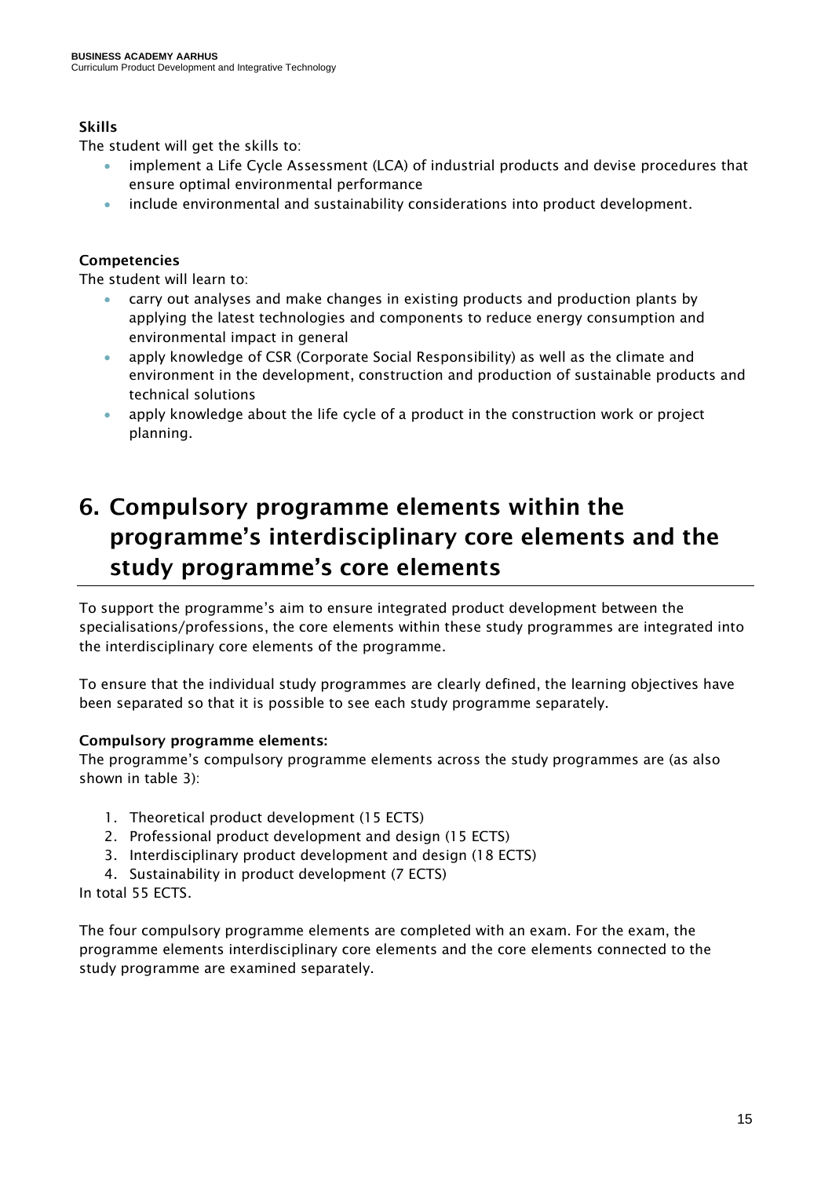### Skills

The student will get the skills to:

- implement a Life Cycle Assessment (LCA) of industrial products and devise procedures that ensure optimal environmental performance
- include environmental and sustainability considerations into product development.

### Competencies

The student will learn to:

- carry out analyses and make changes in existing products and production plants by applying the latest technologies and components to reduce energy consumption and environmental impact in general
- apply knowledge of CSR (Corporate Social Responsibility) as well as the climate and environment in the development, construction and production of sustainable products and technical solutions
- apply knowledge about the life cycle of a product in the construction work or project planning.

# <span id="page-14-0"></span>6. Compulsory programme elements within the programme's interdisciplinary core elements and the study programme's core elements

To support the programme's aim to ensure integrated product development between the specialisations/professions, the core elements within these study programmes are integrated into the interdisciplinary core elements of the programme.

To ensure that the individual study programmes are clearly defined, the learning objectives have been separated so that it is possible to see each study programme separately.

### Compulsory programme elements:

The programme's compulsory programme elements across the study programmes are (as also shown in table 3):

- 1. Theoretical product development (15 ECTS)
- 2. Professional product development and design (15 ECTS)
- 3. Interdisciplinary product development and design (18 ECTS)
- 4. Sustainability in product development (7 ECTS)

In total 55 ECTS.

The four compulsory programme elements are completed with an exam. For the exam, the programme elements interdisciplinary core elements and the core elements connected to the study programme are examined separately.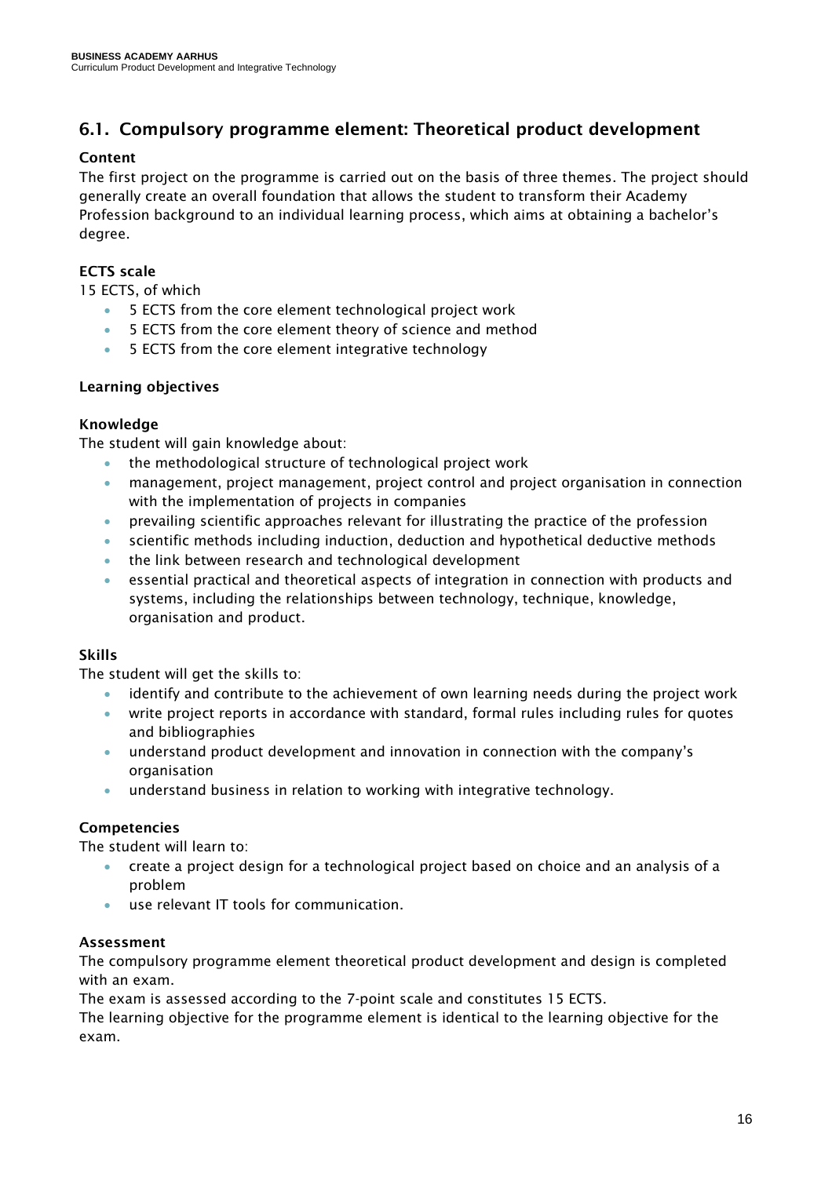### <span id="page-15-0"></span>6.1. Compulsory programme element: Theoretical product development

### Content

The first project on the programme is carried out on the basis of three themes. The project should generally create an overall foundation that allows the student to transform their Academy Profession background to an individual learning process, which aims at obtaining a bachelor's degree.

### ECTS scale

15 ECTS, of which

- 5 ECTS from the core element technological project work
- 5 ECTS from the core element theory of science and method
- 5 ECTS from the core element integrative technology

### Learning objectives

### Knowledge

The student will gain knowledge about:

- the methodological structure of technological project work
- management, project management, project control and project organisation in connection with the implementation of projects in companies
- prevailing scientific approaches relevant for illustrating the practice of the profession
- scientific methods including induction, deduction and hypothetical deductive methods
- the link between research and technological development
- essential practical and theoretical aspects of integration in connection with products and systems, including the relationships between technology, technique, knowledge, organisation and product.

### Skills

The student will get the skills to:

- identify and contribute to the achievement of own learning needs during the project work
- write project reports in accordance with standard, formal rules including rules for quotes and bibliographies
- understand product development and innovation in connection with the company's organisation
- understand business in relation to working with integrative technology.

### Competencies

The student will learn to:

- create a project design for a technological project based on choice and an analysis of a problem
- use relevant IT tools for communication.

### Assessment

The compulsory programme element theoretical product development and design is completed with an exam.

The exam is assessed according to the 7-point scale and constitutes 15 ECTS.

The learning objective for the programme element is identical to the learning objective for the exam.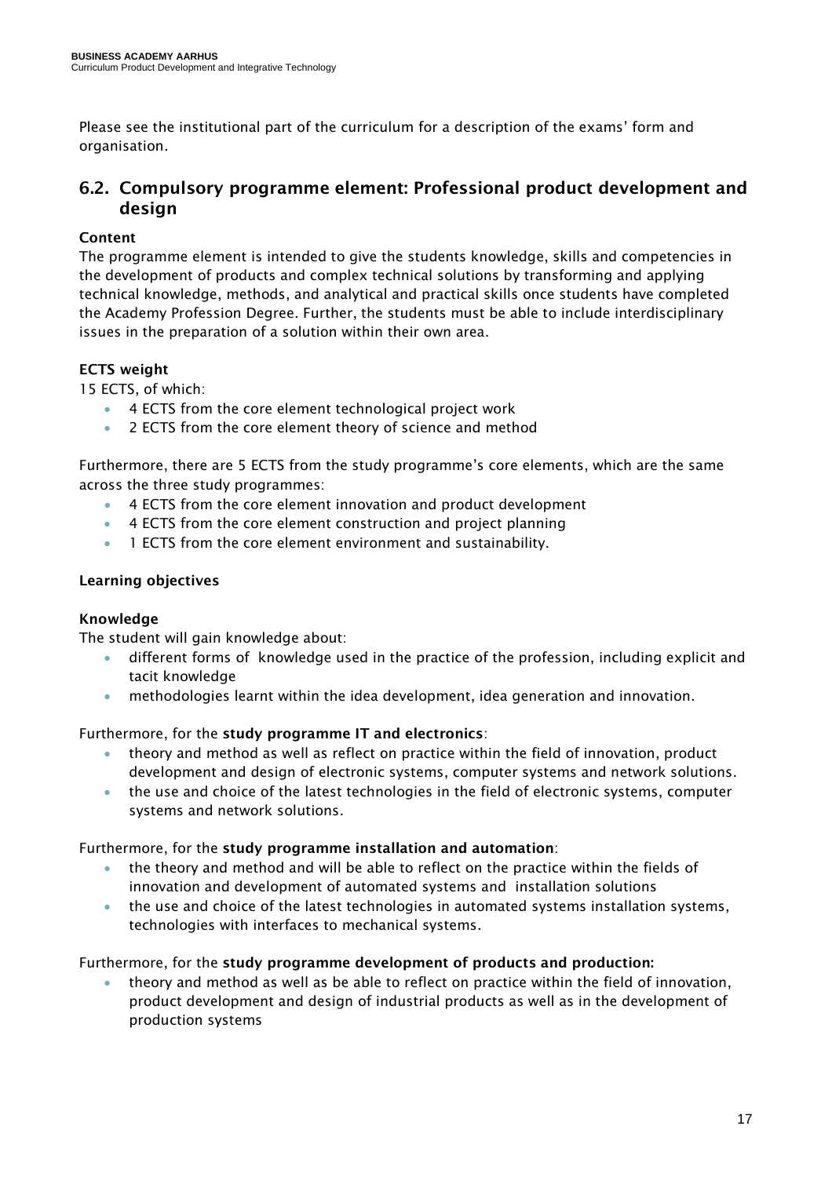Please see the institutional part of the curriculum for a description of the exams' form and organisation.

### <span id="page-16-0"></span>6.2. Compulsory programme element: Professional product development and design

### Content

The programme element is intended to give the students knowledge, skills and competencies in the development of products and complex technical solutions by transforming and applying technical knowledge, methods, and analytical and practical skills once students have completed the Academy Profession Degree. Further, the students must be able to include interdisciplinary issues in the preparation of a solution within their own area.

### ECTS weight

15 ECTS, of which:

- 4 ECTS from the core element technological project work
- 2 ECTS from the core element theory of science and method

Furthermore, there are 5 ECTS from the study programme's core elements, which are the same across the three study programmes:

- 4 ECTS from the core element innovation and product development
- 4 ECTS from the core element construction and project planning
- 1 ECTS from the core element environment and sustainability.

### Learning objectives

### Knowledge

The student will gain knowledge about:

- different forms of knowledge used in the practice of the profession, including explicit and tacit knowledge
- methodologies learnt within the idea development, idea generation and innovation.

Furthermore, for the study programme IT and electronics:

- theory and method as well as reflect on practice within the field of innovation, product development and design of electronic systems, computer systems and network solutions.
- the use and choice of the latest technologies in the field of electronic systems, computer systems and network solutions.

### Furthermore, for the study programme installation and automation:

- the theory and method and will be able to reflect on the practice within the fields of innovation and development of automated systems and installation solutions
- the use and choice of the latest technologies in automated systems installation systems, technologies with interfaces to mechanical systems.

### Furthermore, for the study programme development of products and production:

• theory and method as well as be able to reflect on practice within the field of innovation, product development and design of industrial products as well as in the development of production systems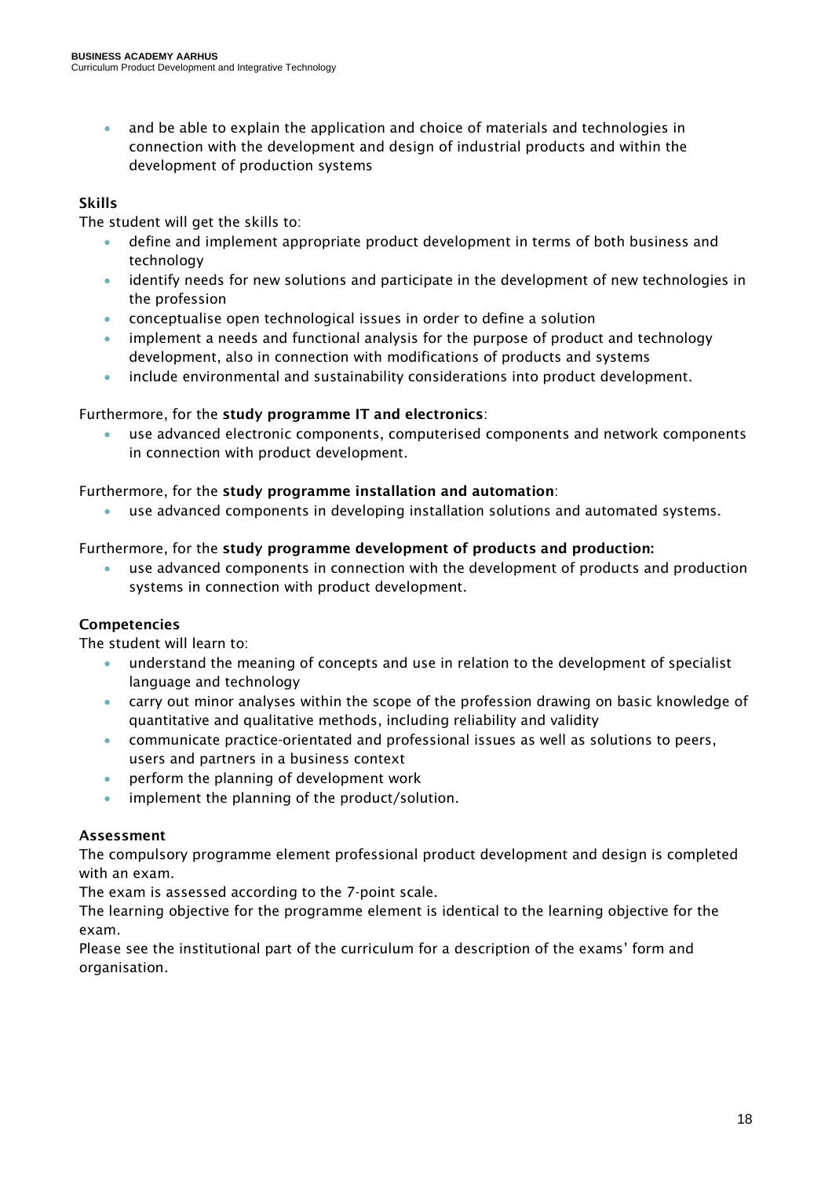• and be able to explain the application and choice of materials and technologies in connection with the development and design of industrial products and within the development of production systems

### Skills

The student will get the skills to:

- define and implement appropriate product development in terms of both business and technology
- identify needs for new solutions and participate in the development of new technologies in the profession
- conceptualise open technological issues in order to define a solution
- implement a needs and functional analysis for the purpose of product and technology development, also in connection with modifications of products and systems
- include environmental and sustainability considerations into product development.

### Furthermore, for the study programme IT and electronics:

• use advanced electronic components, computerised components and network components in connection with product development.

### Furthermore, for the study programme installation and automation:

• use advanced components in developing installation solutions and automated systems.

### Furthermore, for the study programme development of products and production:

• use advanced components in connection with the development of products and production systems in connection with product development.

### Competencies

The student will learn to:

- understand the meaning of concepts and use in relation to the development of specialist language and technology
- carry out minor analyses within the scope of the profession drawing on basic knowledge of quantitative and qualitative methods, including reliability and validity
- communicate practice-orientated and professional issues as well as solutions to peers, users and partners in a business context
- perform the planning of development work
- implement the planning of the product/solution.

### Assessment

The compulsory programme element professional product development and design is completed with an exam.

The exam is assessed according to the 7-point scale.

The learning objective for the programme element is identical to the learning objective for the exam.

Please see the institutional part of the curriculum for a description of the exams' form and organisation.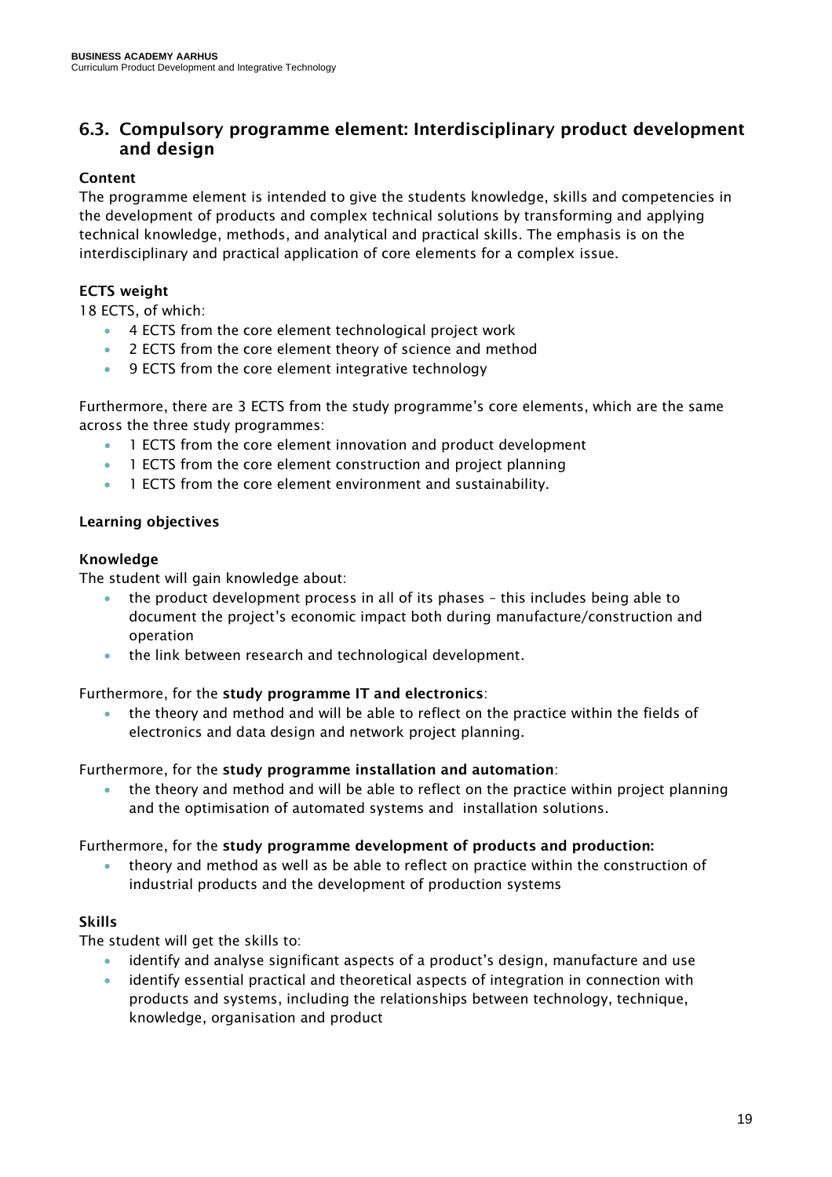### <span id="page-18-0"></span>6.3. Compulsory programme element: Interdisciplinary product development and design

### Content

The programme element is intended to give the students knowledge, skills and competencies in the development of products and complex technical solutions by transforming and applying technical knowledge, methods, and analytical and practical skills. The emphasis is on the interdisciplinary and practical application of core elements for a complex issue.

### ECTS weight

18 ECTS, of which:

- 4 ECTS from the core element technological project work
- 2 ECTS from the core element theory of science and method
- 9 ECTS from the core element integrative technology

Furthermore, there are 3 ECTS from the study programme's core elements, which are the same across the three study programmes:

- 1 ECTS from the core element innovation and product development
- 1 ECTS from the core element construction and project planning
- 1 ECTS from the core element environment and sustainability.

### Learning objectives

### Knowledge

The student will gain knowledge about:

- the product development process in all of its phases this includes being able to document the project's economic impact both during manufacture/construction and operation
- the link between research and technological development.

### Furthermore, for the study programme IT and electronics:

• the theory and method and will be able to reflect on the practice within the fields of electronics and data design and network project planning.

### Furthermore, for the study programme installation and automation:

• the theory and method and will be able to reflect on the practice within project planning and the optimisation of automated systems and installation solutions.

### Furthermore, for the study programme development of products and production:

• theory and method as well as be able to reflect on practice within the construction of industrial products and the development of production systems

### Skills

The student will get the skills to:

- identify and analyse significant aspects of a product's design, manufacture and use
- identify essential practical and theoretical aspects of integration in connection with products and systems, including the relationships between technology, technique, knowledge, organisation and product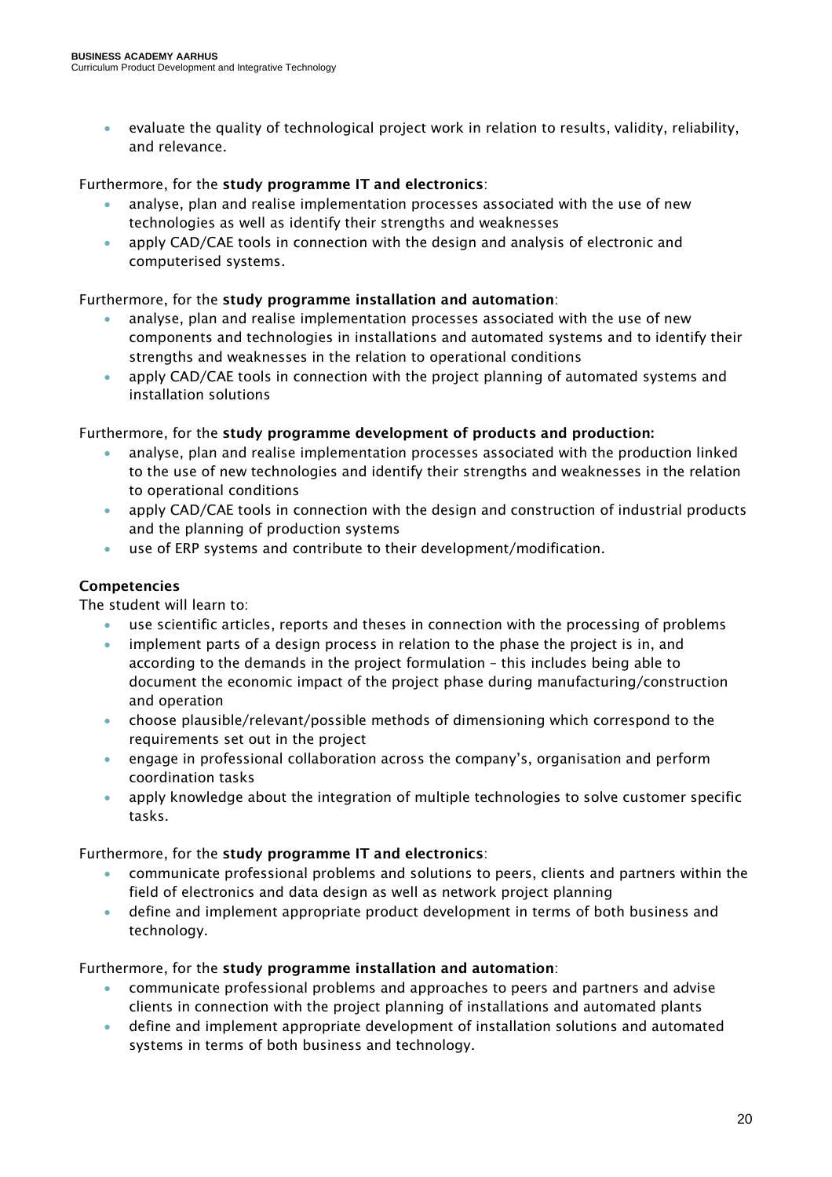• evaluate the quality of technological project work in relation to results, validity, reliability, and relevance.

### Furthermore, for the study programme IT and electronics:

- analyse, plan and realise implementation processes associated with the use of new technologies as well as identify their strengths and weaknesses
- apply CAD/CAE tools in connection with the design and analysis of electronic and computerised systems.

### Furthermore, for the study programme installation and automation:

- analyse, plan and realise implementation processes associated with the use of new components and technologies in installations and automated systems and to identify their strengths and weaknesses in the relation to operational conditions
- apply CAD/CAE tools in connection with the project planning of automated systems and installation solutions

### Furthermore, for the study programme development of products and production:

- analyse, plan and realise implementation processes associated with the production linked to the use of new technologies and identify their strengths and weaknesses in the relation to operational conditions
- apply CAD/CAE tools in connection with the design and construction of industrial products and the planning of production systems
- use of ERP systems and contribute to their development/modification.

### Competencies

The student will learn to:

- use scientific articles, reports and theses in connection with the processing of problems
- implement parts of a design process in relation to the phase the project is in, and according to the demands in the project formulation – this includes being able to document the economic impact of the project phase during manufacturing/construction and operation
- choose plausible/relevant/possible methods of dimensioning which correspond to the requirements set out in the project
- engage in professional collaboration across the company's, organisation and perform coordination tasks
- apply knowledge about the integration of multiple technologies to solve customer specific tasks.

### Furthermore, for the study programme IT and electronics:

- communicate professional problems and solutions to peers, clients and partners within the field of electronics and data design as well as network project planning
- define and implement appropriate product development in terms of both business and technology.

### Furthermore, for the study programme installation and automation:

- communicate professional problems and approaches to peers and partners and advise clients in connection with the project planning of installations and automated plants
- define and implement appropriate development of installation solutions and automated systems in terms of both business and technology.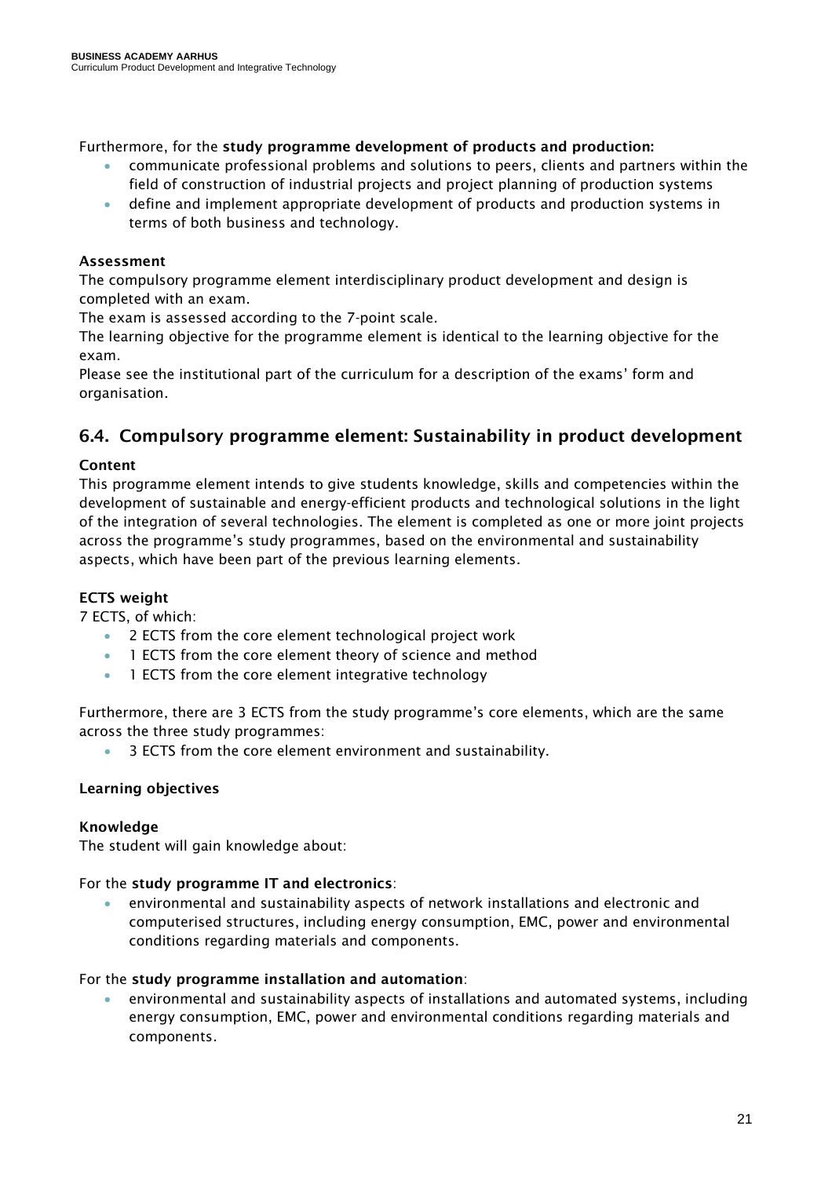Furthermore, for the study programme development of products and production:

- communicate professional problems and solutions to peers, clients and partners within the field of construction of industrial projects and project planning of production systems
- define and implement appropriate development of products and production systems in terms of both business and technology.

### Assessment

The compulsory programme element interdisciplinary product development and design is completed with an exam.

The exam is assessed according to the 7-point scale.

The learning objective for the programme element is identical to the learning objective for the exam.

Please see the institutional part of the curriculum for a description of the exams' form and organisation.

### <span id="page-20-0"></span>6.4. Compulsory programme element: Sustainability in product development

### Content

This programme element intends to give students knowledge, skills and competencies within the development of sustainable and energy-efficient products and technological solutions in the light of the integration of several technologies. The element is completed as one or more joint projects across the programme's study programmes, based on the environmental and sustainability aspects, which have been part of the previous learning elements.

### ECTS weight

7 ECTS, of which:

- 2 ECTS from the core element technological project work
- 1 ECTS from the core element theory of science and method
- 1 ECTS from the core element integrative technology

Furthermore, there are 3 ECTS from the study programme's core elements, which are the same across the three study programmes:

• 3 ECTS from the core element environment and sustainability.

### Learning objectives

### Knowledge

The student will gain knowledge about:

### For the study programme IT and electronics:

• environmental and sustainability aspects of network installations and electronic and computerised structures, including energy consumption, EMC, power and environmental conditions regarding materials and components.

### For the study programme installation and automation:

• environmental and sustainability aspects of installations and automated systems, including energy consumption, EMC, power and environmental conditions regarding materials and components.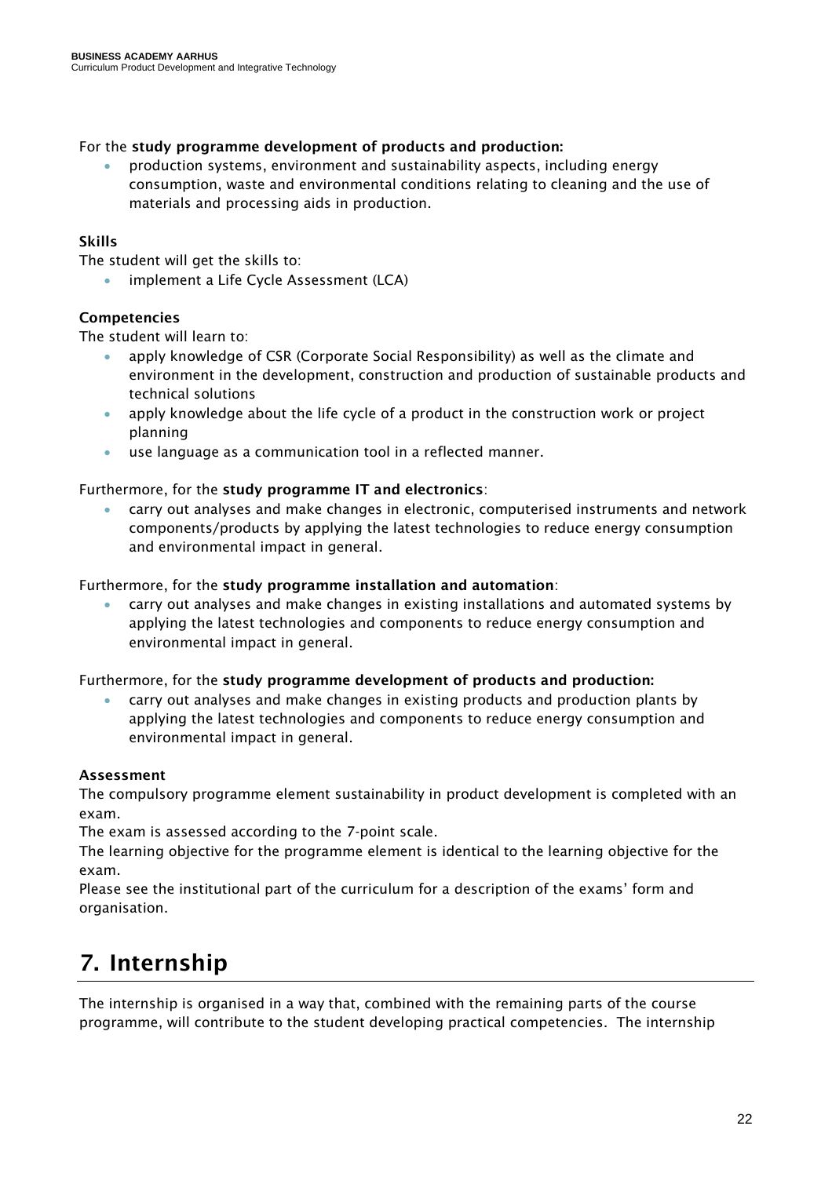### For the study programme development of products and production:

• production systems, environment and sustainability aspects, including energy consumption, waste and environmental conditions relating to cleaning and the use of materials and processing aids in production.

### Skills

The student will get the skills to:

implement a Life Cycle Assessment (LCA)

### Competencies

The student will learn to:

- apply knowledge of CSR (Corporate Social Responsibility) as well as the climate and environment in the development, construction and production of sustainable products and technical solutions
- apply knowledge about the life cycle of a product in the construction work or project planning
- use language as a communication tool in a reflected manner.

### Furthermore, for the study programme IT and electronics:

• carry out analyses and make changes in electronic, computerised instruments and network components/products by applying the latest technologies to reduce energy consumption and environmental impact in general.

### Furthermore, for the study programme installation and automation:

• carry out analyses and make changes in existing installations and automated systems by applying the latest technologies and components to reduce energy consumption and environmental impact in general.

#### Furthermore, for the study programme development of products and production:

• carry out analyses and make changes in existing products and production plants by applying the latest technologies and components to reduce energy consumption and environmental impact in general.

#### Assessment

The compulsory programme element sustainability in product development is completed with an exam.

The exam is assessed according to the 7-point scale.

The learning objective for the programme element is identical to the learning objective for the exam.

Please see the institutional part of the curriculum for a description of the exams' form and organisation.

# <span id="page-21-0"></span>7. Internship

The internship is organised in a way that, combined with the remaining parts of the course programme, will contribute to the student developing practical competencies. The internship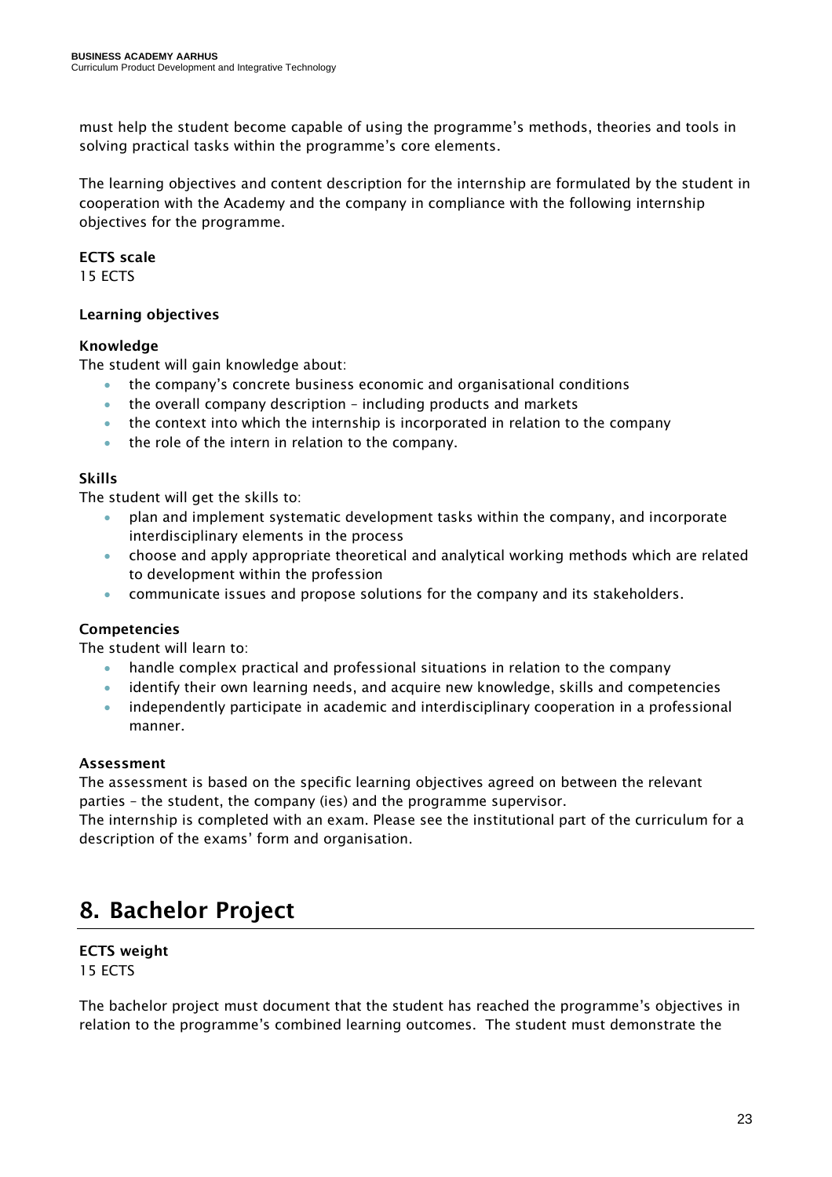must help the student become capable of using the programme's methods, theories and tools in solving practical tasks within the programme's core elements.

The learning objectives and content description for the internship are formulated by the student in cooperation with the Academy and the company in compliance with the following internship objectives for the programme.

### ECTS scale

15 ECTS

### Learning objectives

### Knowledge

The student will gain knowledge about:

- the company's concrete business economic and organisational conditions
- the overall company description including products and markets
- the context into which the internship is incorporated in relation to the company
- the role of the intern in relation to the company.

### Skills

The student will get the skills to:

- plan and implement systematic development tasks within the company, and incorporate interdisciplinary elements in the process
- choose and apply appropriate theoretical and analytical working methods which are related to development within the profession
- communicate issues and propose solutions for the company and its stakeholders.

### Competencies

The student will learn to:

- handle complex practical and professional situations in relation to the company
- identify their own learning needs, and acquire new knowledge, skills and competencies
- independently participate in academic and interdisciplinary cooperation in a professional manner.

### Assessment

The assessment is based on the specific learning objectives agreed on between the relevant parties – the student, the company (ies) and the programme supervisor.

The internship is completed with an exam. Please see the institutional part of the curriculum for a description of the exams' form and organisation.

# <span id="page-22-0"></span>8. Bachelor Project

# ECTS weight

15 ECTS

The bachelor project must document that the student has reached the programme's objectives in relation to the programme's combined learning outcomes. The student must demonstrate the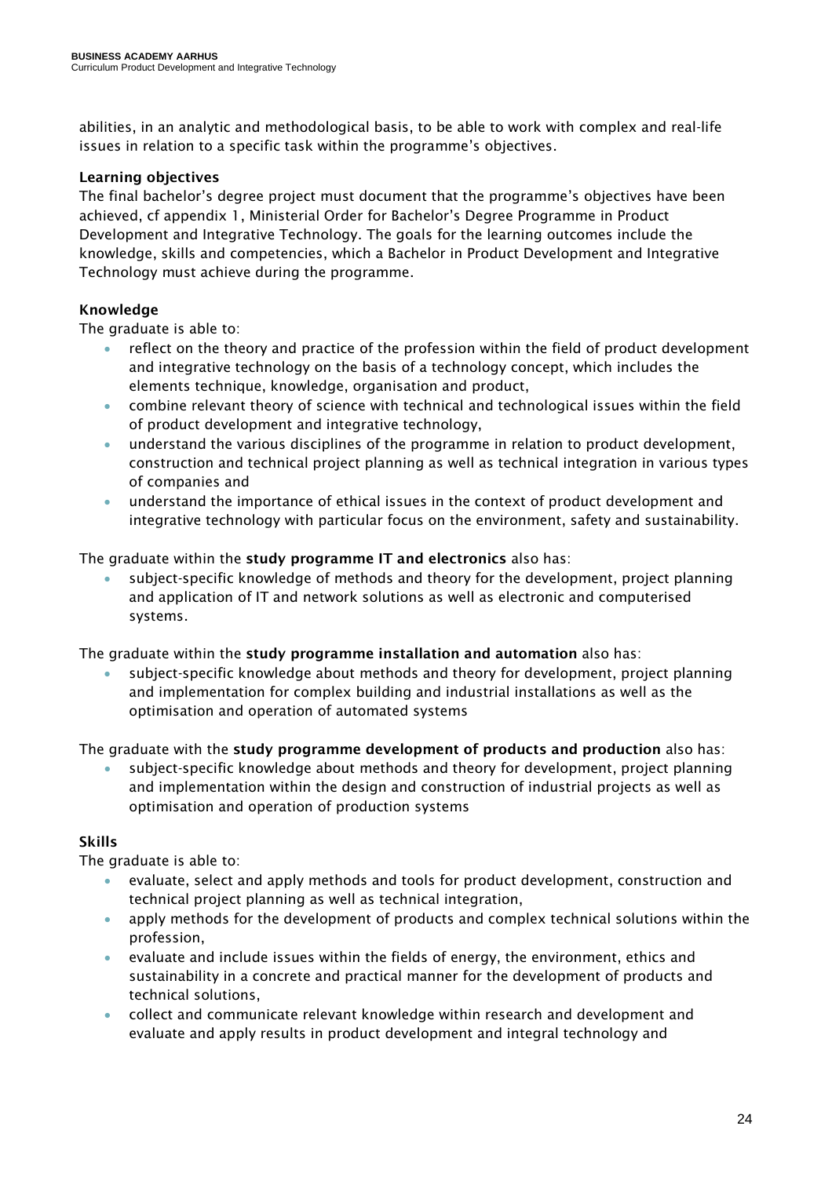abilities, in an analytic and methodological basis, to be able to work with complex and real-life issues in relation to a specific task within the programme's objectives.

### Learning objectives

The final bachelor's degree project must document that the programme's objectives have been achieved, cf appendix 1, Ministerial Order for Bachelor's Degree Programme in Product Development and Integrative Technology. The goals for the learning outcomes include the knowledge, skills and competencies, which a Bachelor in Product Development and Integrative Technology must achieve during the programme.

### Knowledge

The graduate is able to:

- reflect on the theory and practice of the profession within the field of product development and integrative technology on the basis of a technology concept, which includes the elements technique, knowledge, organisation and product,
- combine relevant theory of science with technical and technological issues within the field of product development and integrative technology,
- understand the various disciplines of the programme in relation to product development, construction and technical project planning as well as technical integration in various types of companies and
- understand the importance of ethical issues in the context of product development and integrative technology with particular focus on the environment, safety and sustainability.

The graduate within the study programme IT and electronics also has:

• subject-specific knowledge of methods and theory for the development, project planning and application of IT and network solutions as well as electronic and computerised systems.

The graduate within the study programme installation and automation also has:

• subject-specific knowledge about methods and theory for development, project planning and implementation for complex building and industrial installations as well as the optimisation and operation of automated systems

The graduate with the study programme development of products and production also has:

• subject-specific knowledge about methods and theory for development, project planning and implementation within the design and construction of industrial projects as well as optimisation and operation of production systems

### Skills

The graduate is able to:

- evaluate, select and apply methods and tools for product development, construction and technical project planning as well as technical integration,
- apply methods for the development of products and complex technical solutions within the profession,
- evaluate and include issues within the fields of energy, the environment, ethics and sustainability in a concrete and practical manner for the development of products and technical solutions,
- collect and communicate relevant knowledge within research and development and evaluate and apply results in product development and integral technology and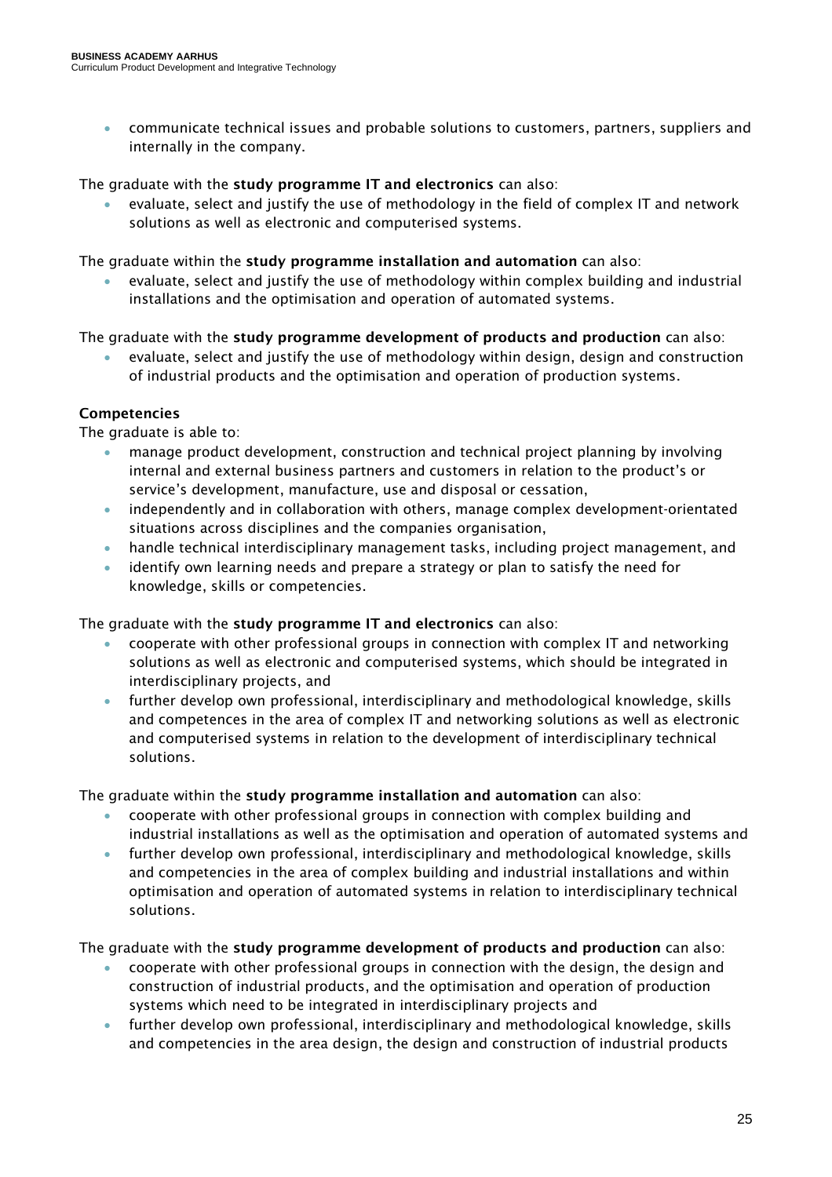• communicate technical issues and probable solutions to customers, partners, suppliers and internally in the company.

The graduate with the study programme IT and electronics can also:

• evaluate, select and justify the use of methodology in the field of complex IT and network solutions as well as electronic and computerised systems.

The graduate within the study programme installation and automation can also:

• evaluate, select and justify the use of methodology within complex building and industrial installations and the optimisation and operation of automated systems.

### The graduate with the study programme development of products and production can also:

• evaluate, select and justify the use of methodology within design, design and construction of industrial products and the optimisation and operation of production systems.

### Competencies

The graduate is able to:

- manage product development, construction and technical project planning by involving internal and external business partners and customers in relation to the product's or service's development, manufacture, use and disposal or cessation,
- independently and in collaboration with others, manage complex development-orientated situations across disciplines and the companies organisation,
- handle technical interdisciplinary management tasks, including project management, and
- identify own learning needs and prepare a strategy or plan to satisfy the need for knowledge, skills or competencies.

The graduate with the study programme IT and electronics can also:

- cooperate with other professional groups in connection with complex IT and networking solutions as well as electronic and computerised systems, which should be integrated in interdisciplinary projects, and
- further develop own professional, interdisciplinary and methodological knowledge, skills and competences in the area of complex IT and networking solutions as well as electronic and computerised systems in relation to the development of interdisciplinary technical solutions.

The graduate within the study programme installation and automation can also:

- cooperate with other professional groups in connection with complex building and industrial installations as well as the optimisation and operation of automated systems and
- further develop own professional, interdisciplinary and methodological knowledge, skills and competencies in the area of complex building and industrial installations and within optimisation and operation of automated systems in relation to interdisciplinary technical solutions.

The graduate with the study programme development of products and production can also:

- cooperate with other professional groups in connection with the design, the design and construction of industrial products, and the optimisation and operation of production systems which need to be integrated in interdisciplinary projects and
- further develop own professional, interdisciplinary and methodological knowledge, skills and competencies in the area design, the design and construction of industrial products